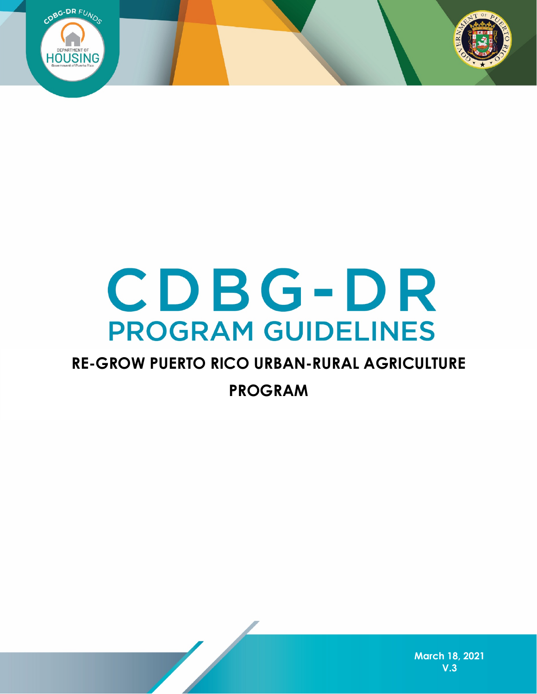



# CDBG-DR **PROGRAM GUIDELINES**

# **RE-GROW PUERTO RICO URBAN-RURAL AGRICULTURE**

# **PROGRAM**

**March 18, 2021 V.3**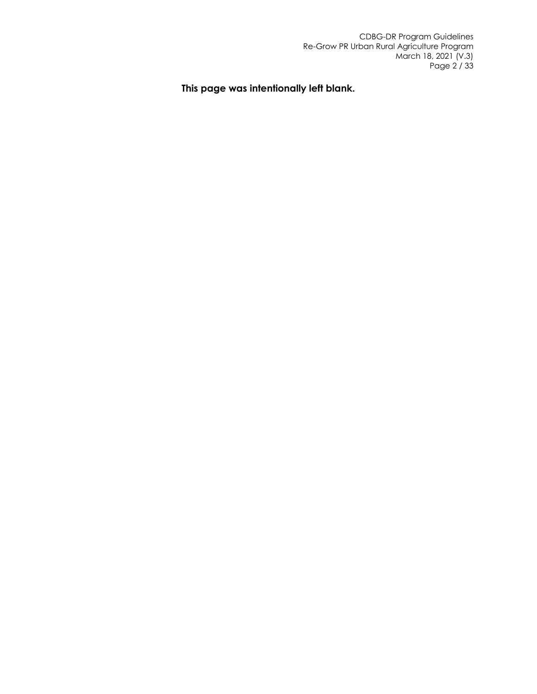CDBG-DR Program Guidelines Re-Grow PR Urban Rural Agriculture Program March 18, 2021 (V.3) Page 2 / 33

**This page was intentionally left blank.**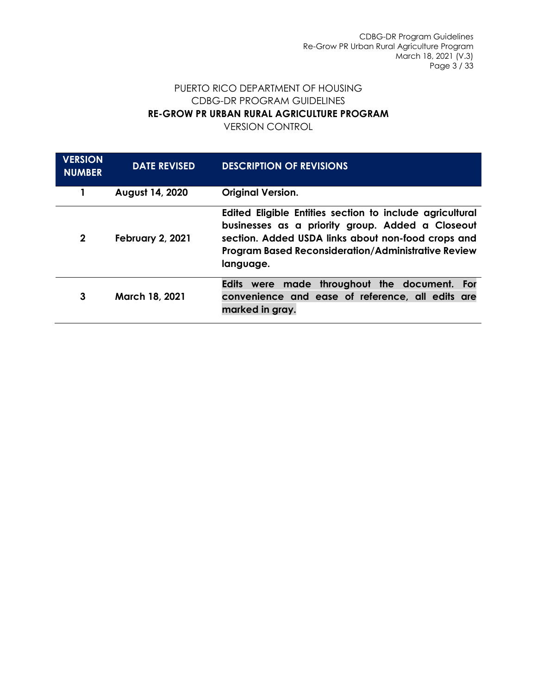CDBG-DR Program Guidelines Re-Grow PR Urban Rural Agriculture Program March 18, 2021 (V.3) Page 3 / 33

#### PUERTO RICO DEPARTMENT OF HOUSING CDBG-DR PROGRAM GUIDELINES **RE-GROW PR URBAN RURAL AGRICULTURE PROGRAM**

VERSION CONTROL

| <b>VERSION</b><br><b>NUMBER</b> | <b>DATE REVISED</b>     | <b>DESCRIPTION OF REVISIONS</b>                                                                                                                                                                                                               |  |
|---------------------------------|-------------------------|-----------------------------------------------------------------------------------------------------------------------------------------------------------------------------------------------------------------------------------------------|--|
|                                 | August 14, 2020         | <b>Original Version.</b>                                                                                                                                                                                                                      |  |
| $\mathbf 2$                     | <b>February 2, 2021</b> | Edited Eligible Entities section to include agricultural<br>businesses as a priority group. Added a Closeout<br>section. Added USDA links about non-food crops and<br><b>Program Based Reconsideration/Administrative Review</b><br>language. |  |
| 3                               | <b>March 18, 2021</b>   | Edits were made throughout the document. For<br>convenience and ease of reference, all edits are<br>marked in gray.                                                                                                                           |  |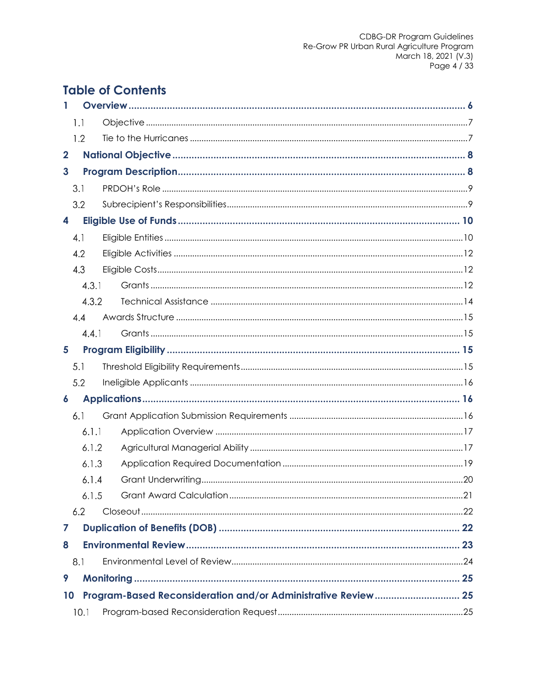# **Table of Contents**

| 1                       |       |  |
|-------------------------|-------|--|
|                         | 1.1   |  |
|                         | 1.2   |  |
| $\overline{\mathbf{2}}$ |       |  |
| $\mathbf{3}$            |       |  |
|                         | 3.1   |  |
|                         | 3.2   |  |
| 4                       |       |  |
|                         | 4.1   |  |
|                         | 4.2   |  |
|                         | 4.3   |  |
|                         | 4.3.1 |  |
|                         | 4.3.2 |  |
|                         | 4.4   |  |
|                         | 4.4.1 |  |
| 5                       |       |  |
|                         | 5.1   |  |
|                         | 5.2   |  |
| $\boldsymbol{6}$        |       |  |
|                         | 6.1   |  |
|                         | 6.1.1 |  |
|                         | 6.1.2 |  |
|                         | 6.1.3 |  |
|                         | 6.1.4 |  |
|                         | 6.1.5 |  |
|                         | 6.2   |  |
| 7                       |       |  |
| 8                       |       |  |
|                         | 8.1   |  |
| 9                       |       |  |
| 10                      |       |  |
|                         | 10.1  |  |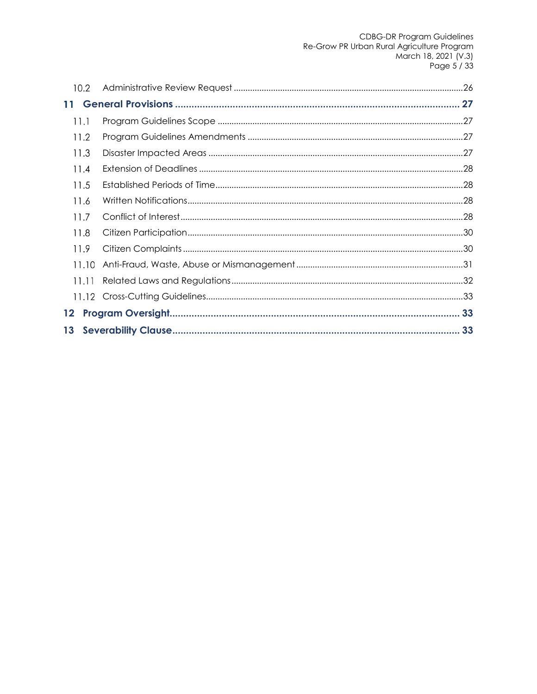| 10.2 <sub>1</sub> |  |  |  |
|-------------------|--|--|--|
| 11                |  |  |  |
| 11.1              |  |  |  |
| 11.2              |  |  |  |
| 11.3              |  |  |  |
| 11.4              |  |  |  |
| 11.5              |  |  |  |
| 11.6              |  |  |  |
| 11.7              |  |  |  |
| 11.8              |  |  |  |
| 11.9              |  |  |  |
| 11.10             |  |  |  |
| 11.11             |  |  |  |
|                   |  |  |  |
| $12 \,$           |  |  |  |
| 13                |  |  |  |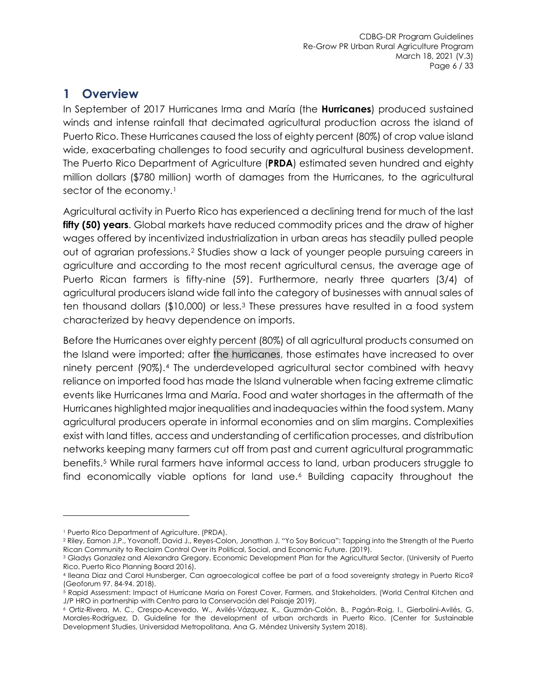# <span id="page-5-0"></span>**1 Overview**

In September of 2017 Hurricanes Irma and María (the **Hurricanes**) produced sustained winds and intense rainfall that decimated agricultural production across the island of Puerto Rico. These Hurricanes caused the loss of eighty percent (80%) of crop value island wide, exacerbating challenges to food security and agricultural business development. The Puerto Rico Department of Agriculture (**PRDA**) estimated seven hundred and eighty million dollars (\$780 million) worth of damages from the Hurricanes, to the agricultural sector of the economy.<sup>[1](#page-5-1)</sup>

Agricultural activity in Puerto Rico has experienced a declining trend for much of the last **fifty (50) years**. Global markets have reduced commodity prices and the draw of higher wages offered by incentivized industrialization in urban areas has steadily pulled people out of agrarian professions.[2](#page-5-2) Studies show a lack of younger people pursuing careers in agriculture and according to the most recent agricultural census, the average age of Puerto Rican farmers is fifty-nine (59). Furthermore, nearly three quarters (3/4) of agricultural producers island wide fall into the category of businesses with annual sales of ten thousand dollars (\$10,000) or less.[3](#page-5-3) These pressures have resulted in a food system characterized by heavy dependence on imports.

Before the Hurricanes over eighty percent (80%) of all agricultural products consumed on the Island were imported; after the hurricanes, those estimates have increased to over ninety percent (90%).[4](#page-5-4) The underdeveloped agricultural sector combined with heavy reliance on imported food has made the Island vulnerable when facing extreme climatic events like Hurricanes Irma and María. Food and water shortages in the aftermath of the Hurricanes highlighted major inequalities and inadequacies within the food system. Many agricultural producers operate in informal economies and on slim margins. Complexities exist with land titles, access and understanding of certification processes, and distribution networks keeping many farmers cut off from past and current agricultural programmatic benefits.[5](#page-5-5) While rural farmers have informal access to land, urban producers struggle to find economically viable options for land use.[6](#page-5-6) Building capacity throughout the

 $\overline{a}$ 

<sup>1</sup> Puerto Rico Department of Agriculture. (PRDA).

<span id="page-5-2"></span><span id="page-5-1"></span><sup>2</sup> Riley, Eamon J.P., Yovanoff, David J., Reyes-Colon, Jonathan J. "Yo Soy Boricua": Tapping into the Strength of the Puerto Rican Community to Reclaim Control Over its Political, Social, and Economic Future. (2019).

<span id="page-5-3"></span><sup>&</sup>lt;sup>3</sup> Gladys Gonzalez and Alexandra Gregory. Economic Development Plan for the Agricultural Sector. (University of Puerto Rico. Puerto Rico Planning Board 2016).

<span id="page-5-4"></span><sup>4</sup> Ileana Diaz and Carol Hunsberger, Can agroecological coffee be part of a food sovereignty strategy in Puerto Rico? (Geoforum 97. 84-94. 2018).

<span id="page-5-5"></span><sup>5</sup> Rapid Assessment: Impact of Hurricane Maria on Forest Cover, Farmers, and Stakeholders. (World Central Kitchen and J/P HRO in partnership with Centro para la Conservación del Paisaje 2019).

<span id="page-5-6"></span><sup>6</sup> Ortiz-Rivera, M. C., Crespo-Acevedo, W., Avilés-Vázquez, K., Guzmán-Colón, B., Pagán-Roig, I., Gierbolini-Avilés, G. Morales-Rodríguez, D. Guideline for the development of urban orchards in Puerto Rico. (Center for Sustainable Development Studies, Universidad Metropolitana, Ana G. Méndez University System 2018).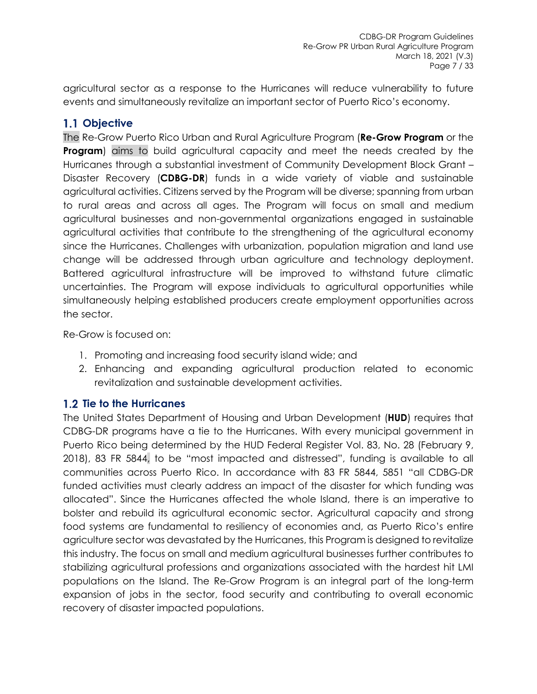agricultural sector as a response to the Hurricanes will reduce vulnerability to future events and simultaneously revitalize an important sector of Puerto Rico's economy.

## <span id="page-6-0"></span>1.1 Objective

The Re-Grow Puerto Rico Urban and Rural Agriculture Program (**Re-Grow Program** or the **Program**) aims to build agricultural capacity and meet the needs created by the Hurricanes through a substantial investment of Community Development Block Grant – Disaster Recovery (**CDBG-DR**) funds in a wide variety of viable and sustainable agricultural activities. Citizens served by the Program will be diverse; spanning from urban to rural areas and across all ages. The Program will focus on small and medium agricultural businesses and non-governmental organizations engaged in sustainable agricultural activities that contribute to the strengthening of the agricultural economy since the Hurricanes. Challenges with urbanization, population migration and land use change will be addressed through urban agriculture and technology deployment. Battered agricultural infrastructure will be improved to withstand future climatic uncertainties. The Program will expose individuals to agricultural opportunities while simultaneously helping established producers create employment opportunities across the sector.

Re-Grow is focused on:

- 1. Promoting and increasing food security island wide; and
- 2. Enhancing and expanding agricultural production related to economic revitalization and sustainable development activities.

#### <span id="page-6-1"></span>**Tie to the Hurricanes**

The United States Department of Housing and Urban Development (**HUD**) requires that CDBG-DR programs have a tie to the Hurricanes. With every municipal government in Puerto Rico being determined by the HUD Federal Register Vol. 83, No. 28 (February 9, 2018), 83 FR 5844, to be "most impacted and distressed", funding is available to all communities across Puerto Rico. In accordance with 83 FR 5844, 5851 "all CDBG-DR funded activities must clearly address an impact of the disaster for which funding was allocated". Since the Hurricanes affected the whole Island, there is an imperative to bolster and rebuild its agricultural economic sector. Agricultural capacity and strong food systems are fundamental to resiliency of economies and, as Puerto Rico's entire agriculture sector was devastated by the Hurricanes, this Program is designed to revitalize this industry. The focus on small and medium agricultural businesses further contributes to stabilizing agricultural professions and organizations associated with the hardest hit LMI populations on the Island. The Re-Grow Program is an integral part of the long-term expansion of jobs in the sector, food security and contributing to overall economic recovery of disaster impacted populations.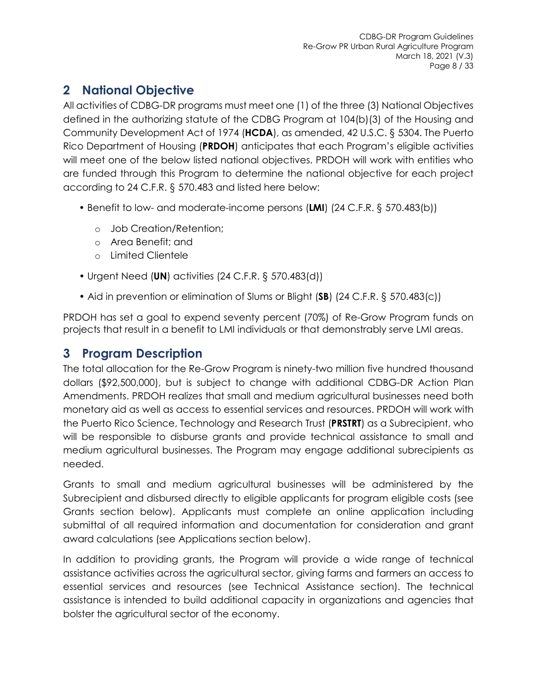# <span id="page-7-0"></span>**2 National Objective**

All activities of CDBG-DR programs must meet one (1) of the three (3) National Objectives defined in the authorizing statute of the CDBG Program at 104(b)(3) of the Housing and Community Development Act of 1974 (**HCDA**), as amended, 42 U.S.C. § 5304. The Puerto Rico Department of Housing (**PRDOH**) anticipates that each Program's eligible activities will meet one of the below listed national objectives. PRDOH will work with entities who are funded through this Program to determine the national objective for each project according to 24 C.F.R. § 570.483 and listed here below:

- Benefit to low- and moderate-income persons (**LMI**) (24 C.F.R. § 570.483(b))
	- o Job Creation/Retention;
	- o Area Benefit; and
	- o Limited Clientele
- Urgent Need (**UN**) activities (24 C.F.R. § 570.483(d))
- Aid in prevention or elimination of Slums or Blight (**SB**) (24 C.F.R. § 570.483(c))

PRDOH has set a goal to expend seventy percent (70%) of Re-Grow Program funds on projects that result in a benefit to LMI individuals or that demonstrably serve LMI areas.

# <span id="page-7-1"></span>**3 Program Description**

The total allocation for the Re-Grow Program is ninety-two million five hundred thousand dollars (\$92,500,000), but is subject to change with additional CDBG-DR Action Plan Amendments. PRDOH realizes that small and medium agricultural businesses need both monetary aid as well as access to essential services and resources. PRDOH will work with the Puerto Rico Science, Technology and Research Trust (**PRSTRT**) as a Subrecipient, who will be responsible to disburse grants and provide technical assistance to small and medium agricultural businesses. The Program may engage additional subrecipients as needed.

Grants to small and medium agricultural businesses will be administered by the Subrecipient and disbursed directly to eligible applicants for program eligible costs (see Grants section below). Applicants must complete an online application including submittal of all required information and documentation for consideration and grant award calculations (see Applications section below).

In addition to providing grants, the Program will provide a wide range of technical assistance activities across the agricultural sector, giving farms and farmers an access to essential services and resources (see Technical Assistance section). The technical assistance is intended to build additional capacity in organizations and agencies that bolster the agricultural sector of the economy.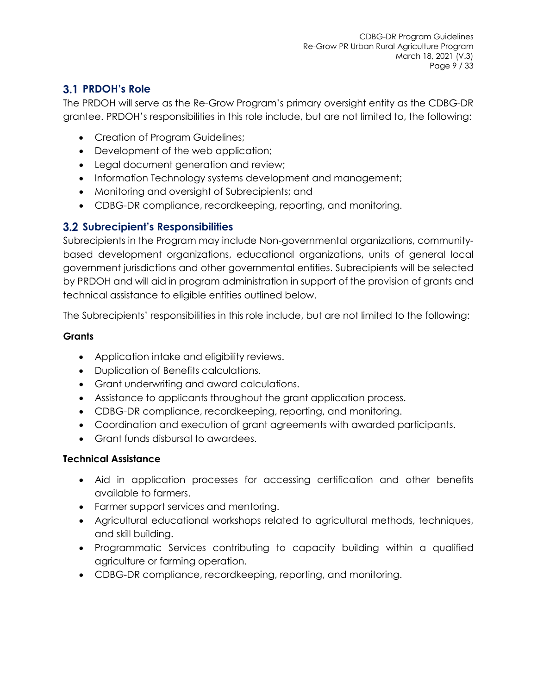## <span id="page-8-0"></span>**PRDOH's Role**

The PRDOH will serve as the Re-Grow Program's primary oversight entity as the CDBG-DR grantee. PRDOH's responsibilities in this role include, but are not limited to, the following:

- Creation of Program Guidelines;
- Development of the web application;
- Legal document generation and review;
- Information Technology systems development and management;
- Monitoring and oversight of Subrecipients; and
- CDBG-DR compliance, recordkeeping, reporting, and monitoring.

# <span id="page-8-1"></span>**Subrecipient's Responsibilities**

Subrecipients in the Program may include Non-governmental organizations, communitybased development organizations, educational organizations, units of general local government jurisdictions and other governmental entities. Subrecipients will be selected by PRDOH and will aid in program administration in support of the provision of grants and technical assistance to eligible entities outlined below.

The Subrecipients' responsibilities in this role include, but are not limited to the following:

#### **Grants**

- Application intake and eligibility reviews.
- Duplication of Benefits calculations.
- Grant underwriting and award calculations.
- Assistance to applicants throughout the grant application process.
- CDBG-DR compliance, recordkeeping, reporting, and monitoring.
- Coordination and execution of grant agreements with awarded participants.
- Grant funds disbursal to awardees.

#### **Technical Assistance**

- Aid in application processes for accessing certification and other benefits available to farmers.
- Farmer support services and mentoring.
- Agricultural educational workshops related to agricultural methods, techniques, and skill building.
- Programmatic Services contributing to capacity building within a qualified agriculture or farming operation.
- CDBG-DR compliance, recordkeeping, reporting, and monitoring.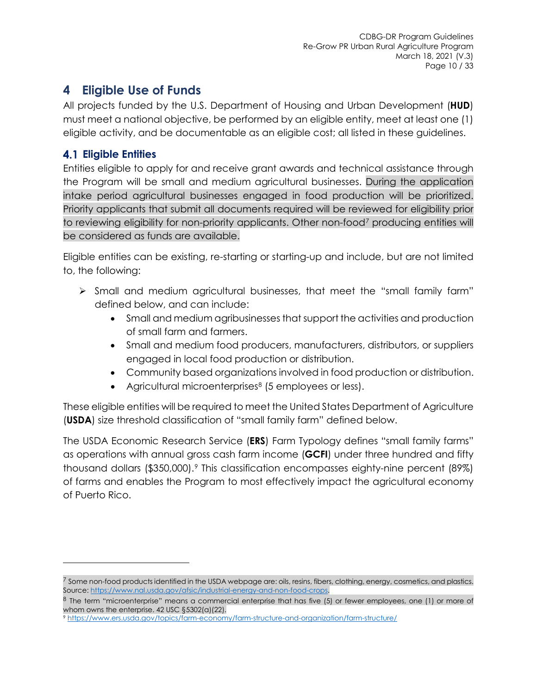# <span id="page-9-0"></span>**4 Eligible Use of Funds**

All projects funded by the U.S. Department of Housing and Urban Development (**HUD**) must meet a national objective, be performed by an eligible entity, meet at least one (1) eligible activity, and be documentable as an eligible cost; all listed in these guidelines.

## <span id="page-9-1"></span>**Eligible Entities**

 $\overline{a}$ 

Entities eligible to apply for and receive grant awards and technical assistance through the Program will be small and medium agricultural businesses. During the application intake period agricultural businesses engaged in food production will be prioritized. Priority applicants that submit all documents required will be reviewed for eligibility prior to reviewing eligibility for non-priority applicants. Other non-food<sup>[7](#page-9-2)</sup> producing entities will be considered as funds are available.

Eligible entities can be existing, re-starting or starting-up and include, but are not limited to, the following:

- $\triangleright$  Small and medium agricultural businesses, that meet the "small family farm" defined below, and can include:
	- Small and medium agribusinesses that support the activities and production of small farm and farmers.
	- Small and medium food producers, manufacturers, distributors, or suppliers engaged in local food production or distribution.
	- Community based organizations involved in food production or distribution.
	- Agricultural microenterprises<sup>[8](#page-9-3)</sup> (5 employees or less).

These eligible entities will be required to meet the United States Department of Agriculture (**USDA**) size threshold classification of "small family farm" defined below.

The USDA Economic Research Service (**ERS**) Farm Typology defines "small family farms" as operations with annual gross cash farm income (**GCFI**) under three hundred and fifty thousand dollars (\$350,000).[9](#page-9-4) This classification encompasses eighty-nine percent (89%) of farms and enables the Program to most effectively impact the agricultural economy of Puerto Rico.

<span id="page-9-2"></span> $^7$  Some non-food products identified in the USDA webpage are: oils, resins, fibers, clothing, energy, cosmetics, and plastics. Source: https://www.nal.usda.gov/afsic/industrial-energy-and-non-food-crops.

<span id="page-9-3"></span><sup>&</sup>lt;sup>8</sup> The term "microenterprise" means a commercial enterprise that has five (5) or fewer employees, one (1) or more of whom owns the enterprise. 42 USC §5302(a)(22).

<span id="page-9-4"></span><sup>9</sup> <https://www.ers.usda.gov/topics/farm-economy/farm-structure-and-organization/farm-structure/>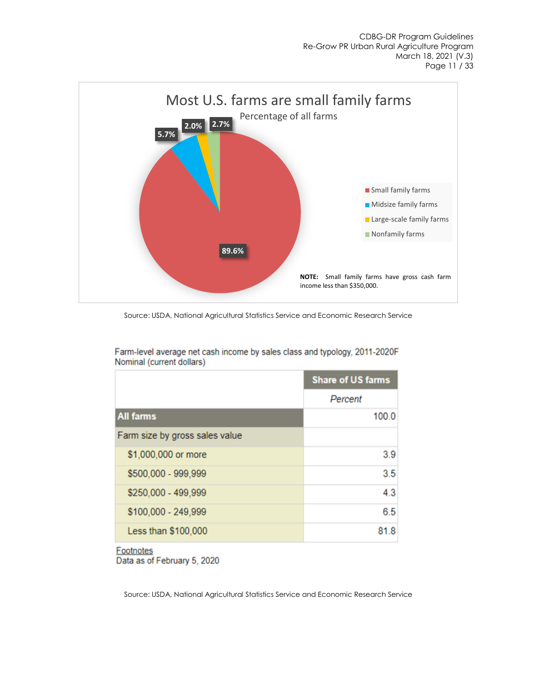

Source: USDA, National Agricultural Statistics Service and Economic Research Service

|                                | <b>Share of US farms</b> |
|--------------------------------|--------------------------|
|                                | Percent                  |
| <b>All farms</b>               | 100.0                    |
| Farm size by gross sales value |                          |
| \$1,000,000 or more            | 3.9                      |
| \$500,000 - 999,999            | 3.5                      |
| \$250,000 - 499,999            | 4.3                      |
| \$100,000 - 249,999            | 6.5                      |
| Less than \$100,000            | 81.8                     |

Farm-level average net cash income by sales class and typology, 2011-2020F Nominal (current dollars)

#### **Footnotes**

Data as of February 5, 2020

Source: USDA, National Agricultural Statistics Service and Economic Research Service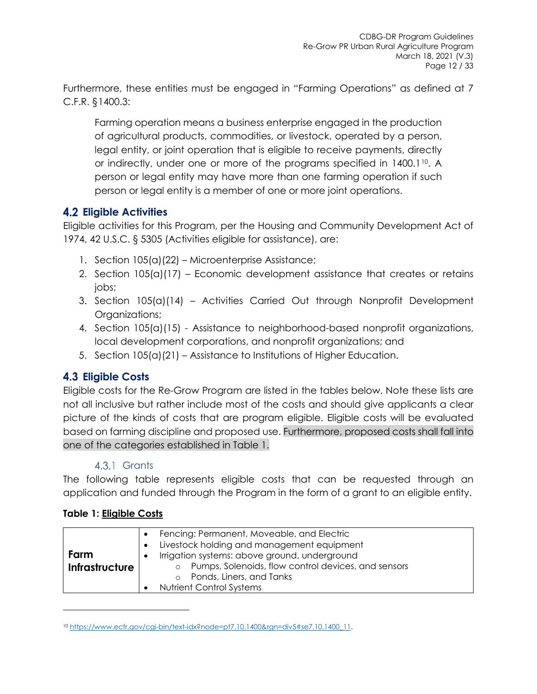Furthermore, these entities must be engaged in "Farming Operations" as defined at 7 C.F.R. §1400.3:

Farming operation means a business enterprise engaged in the production of agricultural products, commodities, or livestock, operated by a person, legal entity, or joint operation that is eligible to receive payments, directly or indirectly, under one or more of the programs specified in  $1400.1^{10}$  $1400.1^{10}$  $1400.1^{10}$ . A person or legal entity may have more than one farming operation if such person or legal entity is a member of one or more joint operations.

# <span id="page-11-0"></span>**Eligible Activities**

Eligible activities for this Program, per the Housing and Community Development Act of 1974, 42 U.S.C. § 5305 (Activities eligible for assistance), are:

- 1. Section 105(a)(22) Microenterprise Assistance;
- 2. Section 105(a)(17) Economic development assistance that creates or retains iobs:
- 3. Section 105(a)(14) Activities Carried Out through Nonprofit Development Organizations;
- 4. Section 105(a)(15) Assistance to neighborhood-based nonprofit organizations, local development corporations, and nonprofit organizations; and
- 5. Section 105(a)(21) Assistance to Institutions of Higher Education.

# <span id="page-11-1"></span>**Eligible Costs**

Eligible costs for the Re-Grow Program are listed in the tables below. Note these lists are not all inclusive but rather include most of the costs and should give applicants a clear picture of the kinds of costs that are program eligible. Eligible costs will be evaluated based on farming discipline and proposed use. Furthermore, proposed costs shall fall into one of the categories established in Table 1.

#### 4.3.1 Grants

<span id="page-11-2"></span>The following table represents eligible costs that can be requested through an application and funded through the Program in the form of a grant to an eligible entity.

#### **Table 1: Eligible Costs**

 $\overline{a}$ 

| Fencing: Permanent, Moveable, and Electric<br>Livestock holding and management equipment<br>Farm<br>Irrigation systems: above ground, underground<br>o Pumps, Solenoids, flow control devices, and sensors<br><b>Infrastructure</b><br>Ponds, Liners, and Tanks<br><b>Nutrient Control Systems</b> |
|----------------------------------------------------------------------------------------------------------------------------------------------------------------------------------------------------------------------------------------------------------------------------------------------------|
|----------------------------------------------------------------------------------------------------------------------------------------------------------------------------------------------------------------------------------------------------------------------------------------------------|

<span id="page-11-3"></span><sup>&</sup>lt;sup>10</sup> https://www.ecfr.gov/cgi-bin/text-idx?node=pt7.10.1400&rgn=div5#se7.10.1400\_11.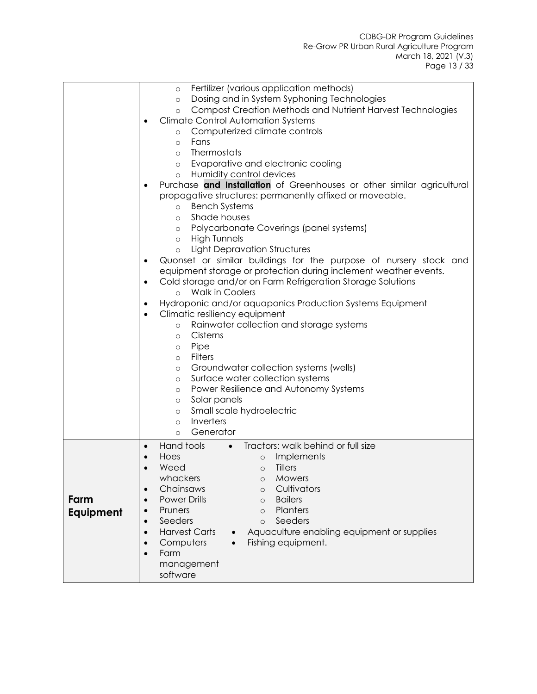|           | Fertilizer (various application methods)<br>$\circ$                                                                                          |
|-----------|----------------------------------------------------------------------------------------------------------------------------------------------|
|           | Dosing and in System Syphoning Technologies<br>$\circ$                                                                                       |
|           | Compost Creation Methods and Nutrient Harvest Technologies<br>$\circ$                                                                        |
|           | <b>Climate Control Automation Systems</b><br>$\bullet$<br>Computerized climate controls                                                      |
|           | $\circ$<br>Fans<br>$\circ$                                                                                                                   |
|           | Thermostats<br>$\circ$                                                                                                                       |
|           | Evaporative and electronic cooling<br>$\circ$                                                                                                |
|           | Humidity control devices<br>$\circ$                                                                                                          |
|           | Purchase and Installation of Greenhouses or other similar agricultural                                                                       |
|           | propagative structures: permanently affixed or moveable.                                                                                     |
|           | <b>Bench Systems</b><br>$\circ$                                                                                                              |
|           | Shade houses<br>$\circ$                                                                                                                      |
|           | Polycarbonate Coverings (panel systems)<br>$\circ$                                                                                           |
|           | <b>High Tunnels</b><br>$\circ$                                                                                                               |
|           | <b>Light Depravation Structures</b><br>$\circ$                                                                                               |
|           | Quonset or similar buildings for the purpose of nursery stock and                                                                            |
|           | equipment storage or protection during inclement weather events.<br>Cold storage and/or on Farm Refrigeration Storage Solutions<br>$\bullet$ |
|           | <b>Walk in Coolers</b>                                                                                                                       |
|           | Hydroponic and/or aquaponics Production Systems Equipment<br>$\bullet$                                                                       |
|           | Climatic resiliency equipment<br>$\bullet$                                                                                                   |
|           | Rainwater collection and storage systems<br>$\circ$                                                                                          |
|           | Cisterns<br>$\circ$                                                                                                                          |
|           | Pipe<br>$\circ$                                                                                                                              |
|           | <b>Filters</b><br>$\circ$                                                                                                                    |
|           | Groundwater collection systems (wells)<br>$\circ$                                                                                            |
|           | Surface water collection systems<br>$\circ$                                                                                                  |
|           | Power Resilience and Autonomy Systems<br>$\circ$                                                                                             |
|           | Solar panels<br>$\circ$                                                                                                                      |
|           | Small scale hydroelectric<br>$\circ$<br>Inverters                                                                                            |
|           | $\circ$<br>Generator<br>$\circ$                                                                                                              |
|           | Tractors: walk behind or full size<br>Hand tools<br>$\bullet$                                                                                |
|           | Hoes<br>Implements<br>$\circ$                                                                                                                |
|           | Weed<br>o Tillers                                                                                                                            |
|           | whackers<br>Mowers<br>$\circ$                                                                                                                |
|           | Cultivators<br>Chainsaws<br>$\circ$<br>$\bullet$                                                                                             |
| Farm      | <b>Power Drills</b><br><b>Bailers</b><br>$\bullet$<br>$\circ$                                                                                |
| Equipment | Planters<br>Pruners<br>$\circ$                                                                                                               |
|           | Seeders<br>Seeders<br>$\circ$<br>$\bullet$                                                                                                   |
|           | <b>Harvest Carts</b><br>Aquaculture enabling equipment or supplies<br>$\bullet$                                                              |
|           | Fishing equipment.<br>Computers<br>$\bullet$<br>Farm<br>$\bullet$                                                                            |
|           | management                                                                                                                                   |
|           | software                                                                                                                                     |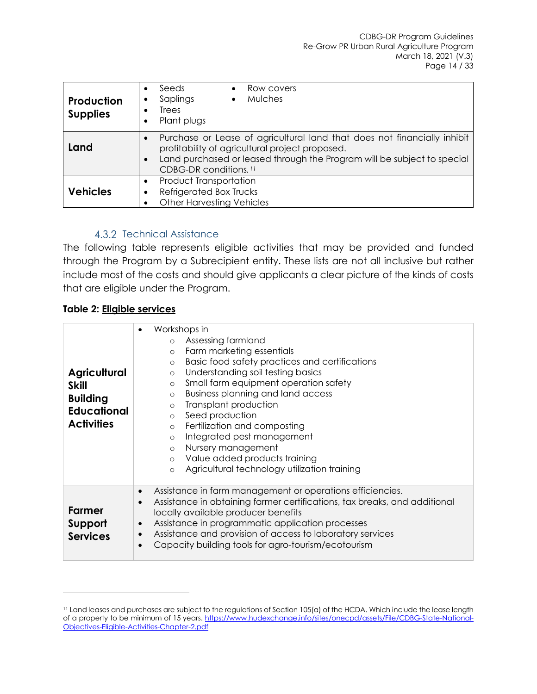| <b>Production</b><br><b>Supplies</b> | Seeds<br>Row covers<br>Saplings<br><b>Mulches</b><br>Trees<br>Plant plugs                                                                                                                                                                                             |  |
|--------------------------------------|-----------------------------------------------------------------------------------------------------------------------------------------------------------------------------------------------------------------------------------------------------------------------|--|
| Land                                 | Purchase or Lease of agricultural land that does not financially inhibit<br>$\bullet$<br>profitability of agricultural project proposed.<br>Land purchased or leased through the Program will be subject to special<br>$\bullet$<br>CDBG-DR conditions. <sup>11</sup> |  |
| <b>Vehicles</b>                      | <b>Product Transportation</b><br>٠<br>Refrigerated Box Trucks<br><b>Other Harvesting Vehicles</b>                                                                                                                                                                     |  |

#### 4.3.2 Technical Assistance

<span id="page-13-0"></span>The following table represents eligible activities that may be provided and funded through the Program by a Subrecipient entity. These lists are not all inclusive but rather include most of the costs and should give applicants a clear picture of the kinds of costs that are eligible under the Program.

#### **Table 2: Eligible services**

 $\overline{a}$ 

| <b>Agricultural</b><br><b>Skill</b><br><b>Building</b><br><b>Educational</b><br><b>Activities</b> | Workshops in<br>Assessing farmland<br>$\circ$<br>Farm marketing essentials<br>$\circ$<br>Basic food safety practices and certifications<br>$\circ$<br>Understanding soil testing basics<br>$\circ$<br>Small farm equipment operation safety<br>$\circ$<br><b>Business planning and land access</b><br>$\circ$<br>Transplant production<br>$\circ$<br>Seed production<br>$\circ$<br>Fertilization and composting<br>$\circ$<br>Integrated pest management<br>$\circ$<br>Nursery management<br>$\circ$<br>Value added products training<br>$\circ$<br>Agricultural technology utilization training<br>$\circ$ |  |
|---------------------------------------------------------------------------------------------------|-------------------------------------------------------------------------------------------------------------------------------------------------------------------------------------------------------------------------------------------------------------------------------------------------------------------------------------------------------------------------------------------------------------------------------------------------------------------------------------------------------------------------------------------------------------------------------------------------------------|--|
| Farmer<br>Support<br><b>Services</b>                                                              | Assistance in farm management or operations efficiencies.<br>$\bullet$<br>Assistance in obtaining farmer certifications, tax breaks, and additional<br>$\bullet$<br>locally available producer benefits<br>Assistance in programmatic application processes<br>$\bullet$<br>Assistance and provision of access to laboratory services<br>$\bullet$<br>Capacity building tools for agro-tourism/ecotourism                                                                                                                                                                                                   |  |

<span id="page-13-1"></span><sup>11</sup> Land leases and purchases are subject to the regulations of Section 105(a) of the HCDA. Which include the lease length of a property to be minimum of 15 years[. https://www.hudexchange.info/sites/onecpd/assets/File/CDBG-State-National-](https://www.hudexchange.info/sites/onecpd/assets/File/CDBG-State-National-Objectives-Eligible-Activities-Chapter-2.pdf)[Objectives-Eligible-Activities-Chapter-2.pdf](https://www.hudexchange.info/sites/onecpd/assets/File/CDBG-State-National-Objectives-Eligible-Activities-Chapter-2.pdf)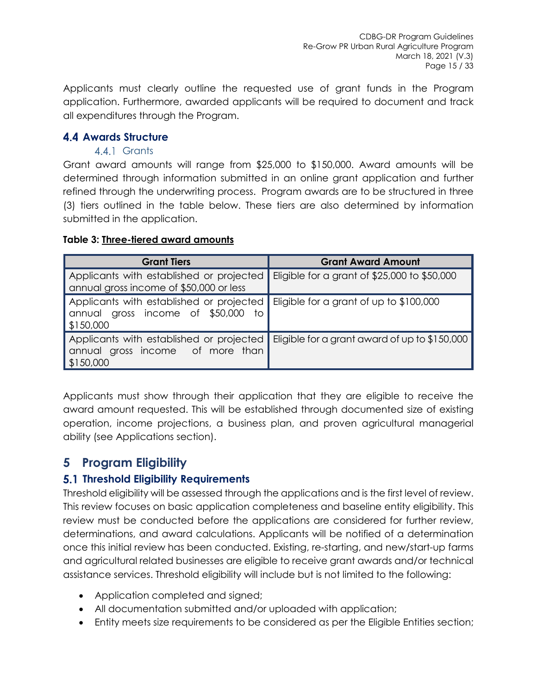Applicants must clearly outline the requested use of grant funds in the Program application. Furthermore, awarded applicants will be required to document and track all expenditures through the Program.

## <span id="page-14-1"></span><span id="page-14-0"></span>**Awards Structure**

#### 4.4.1 Grants

Grant award amounts will range from \$25,000 to \$150,000. Award amounts will be determined through information submitted in an online grant application and further refined through the underwriting process. Program awards are to be structured in three (3) tiers outlined in the table below. These tiers are also determined by information submitted in the application.

#### **Table 3: Three-tiered award amounts**

| <b>Grant Tiers</b>                                                                             | <b>Grant Award Amount</b>                     |
|------------------------------------------------------------------------------------------------|-----------------------------------------------|
| Applicants with established or projected<br>annual gross income of \$50,000 or less            | Eligible for a grant of \$25,000 to \$50,000  |
| Applicants with established or projected<br>annual gross income of \$50,000<br>to<br>\$150,000 | Eligible for a grant of up to \$100,000       |
| Applicants with established or projected<br>annual gross income of more than<br>\$150,000      | Eligible for a grant award of up to \$150,000 |

Applicants must show through their application that they are eligible to receive the award amount requested. This will be established through documented size of existing operation, income projections, a business plan, and proven agricultural managerial ability (see Applications section).

# <span id="page-14-2"></span>**5 Program Eligibility**

#### <span id="page-14-3"></span>**Threshold Eligibility Requirements**

Threshold eligibility will be assessed through the applications and is the first level of review. This review focuses on basic application completeness and baseline entity eligibility. This review must be conducted before the applications are considered for further review, determinations, and award calculations. Applicants will be notified of a determination once this initial review has been conducted. Existing, re-starting, and new/start-up farms and agricultural related businesses are eligible to receive grant awards and/or technical assistance services. Threshold eligibility will include but is not limited to the following:

- Application completed and signed;
- All documentation submitted and/or uploaded with application;
- Entity meets size requirements to be considered as per the Eligible Entities section;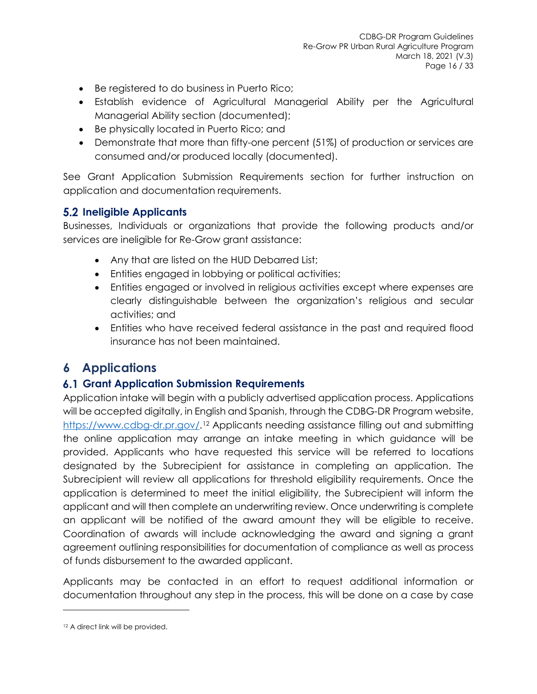- Be registered to do business in Puerto Rico;
- Establish evidence of Agricultural Managerial Ability per the Agricultural Managerial Ability section (documented);
- Be physically located in Puerto Rico; and
- Demonstrate that more than fifty-one percent (51%) of production or services are consumed and/or produced locally (documented).

See Grant Application Submission Requirements section for further instruction on application and documentation requirements.

# <span id="page-15-0"></span>**Ineligible Applicants**

Businesses, Individuals or organizations that provide the following products and/or services are ineligible for Re-Grow grant assistance:

- Any that are listed on the HUD Debarred List;
- Entities engaged in lobbying or political activities;
- Entities engaged or involved in religious activities except where expenses are clearly distinguishable between the organization's religious and secular activities; and
- Entities who have received federal assistance in the past and required flood insurance has not been maintained.

# <span id="page-15-1"></span>**6 Applications**

# <span id="page-15-2"></span>**Grant Application Submission Requirements**

Application intake will begin with a publicly advertised application process. Applications will be accepted digitally, in English and Spanish, through the CDBG-DR Program website, [https://www.cdbg-dr.pr.gov/.](https://www.cdbg-dr.pr.gov/)[12](#page-15-3) Applicants needing assistance filling out and submitting the online application may arrange an intake meeting in which guidance will be provided. Applicants who have requested this service will be referred to locations designated by the Subrecipient for assistance in completing an application. The Subrecipient will review all applications for threshold eligibility requirements. Once the application is determined to meet the initial eligibility, the Subrecipient will inform the applicant and will then complete an underwriting review. Once underwriting is complete an applicant will be notified of the award amount they will be eligible to receive. Coordination of awards will include acknowledging the award and signing a grant agreement outlining responsibilities for documentation of compliance as well as process of funds disbursement to the awarded applicant.

Applicants may be contacted in an effort to request additional information or documentation throughout any step in the process, this will be done on a case by case

 $\overline{a}$ 

<span id="page-15-3"></span><sup>12</sup> A direct link will be provided.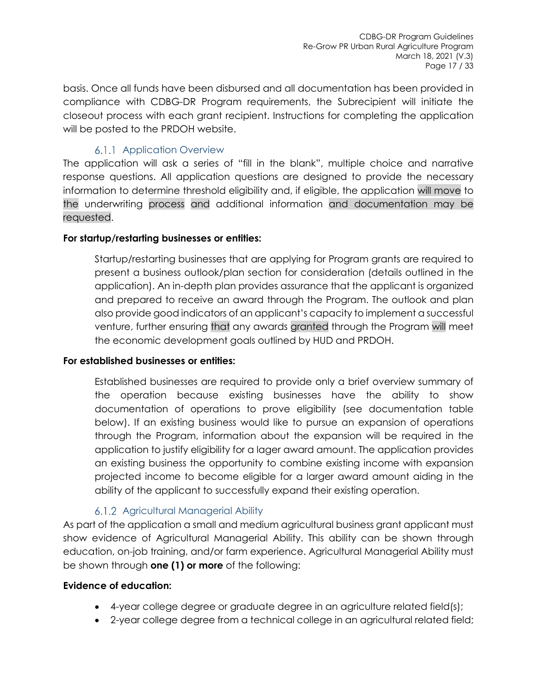basis. Once all funds have been disbursed and all documentation has been provided in compliance with CDBG-DR Program requirements, the Subrecipient will initiate the closeout process with each grant recipient. Instructions for completing the application will be posted to the PRDOH website.

## 6.1.1 Application Overview

<span id="page-16-0"></span>The application will ask a series of "fill in the blank", multiple choice and narrative response questions. All application questions are designed to provide the necessary information to determine threshold eligibility and, if eligible, the application will move to the underwriting process and additional information and documentation may be requested.

#### **For startup/restarting businesses or entities:**

Startup/restarting businesses that are applying for Program grants are required to present a business outlook/plan section for consideration (details outlined in the application). An in-depth plan provides assurance that the applicant is organized and prepared to receive an award through the Program. The outlook and plan also provide good indicators of an applicant's capacity to implement a successful venture, further ensuring that any awards granted through the Program will meet the economic development goals outlined by HUD and PRDOH.

#### **For established businesses or entities:**

Established businesses are required to provide only a brief overview summary of the operation because existing businesses have the ability to show documentation of operations to prove eligibility (see documentation table below). If an existing business would like to pursue an expansion of operations through the Program, information about the expansion will be required in the application to justify eligibility for a lager award amount. The application provides an existing business the opportunity to combine existing income with expansion projected income to become eligible for a larger award amount aiding in the ability of the applicant to successfully expand their existing operation.

#### Agricultural Managerial Ability

<span id="page-16-1"></span>As part of the application a small and medium agricultural business grant applicant must show evidence of Agricultural Managerial Ability. This ability can be shown through education, on-job training, and/or farm experience. Agricultural Managerial Ability must be shown through **one (1) or more** of the following:

#### **Evidence of education:**

- 4-year college degree or graduate degree in an agriculture related field(s);
- 2-year college degree from a technical college in an agricultural related field;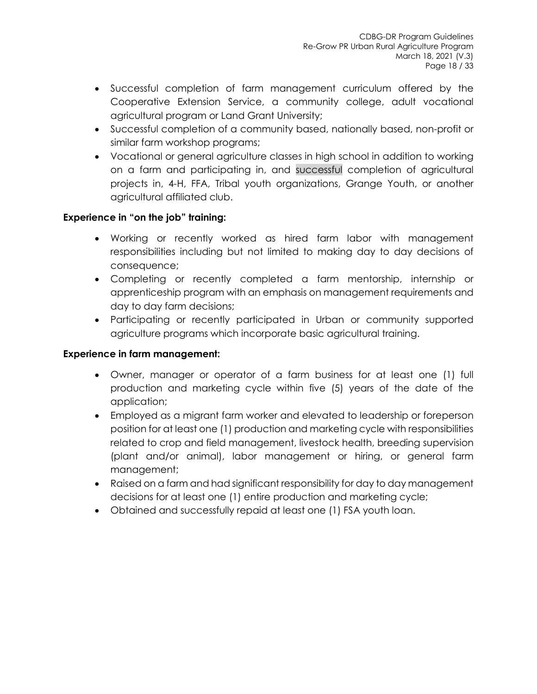- Successful completion of farm management curriculum offered by the Cooperative Extension Service, a community college, adult vocational agricultural program or Land Grant University;
- Successful completion of a community based, nationally based, non-profit or similar farm workshop programs;
- Vocational or general agriculture classes in high school in addition to working on a farm and participating in, and successful completion of agricultural projects in, 4-H, FFA, Tribal youth organizations, Grange Youth, or another agricultural affiliated club.

#### **Experience in "on the job" training:**

- Working or recently worked as hired farm labor with management responsibilities including but not limited to making day to day decisions of consequence;
- Completing or recently completed a farm mentorship, internship or apprenticeship program with an emphasis on management requirements and day to day farm decisions;
- Participating or recently participated in Urban or community supported agriculture programs which incorporate basic agricultural training.

#### **Experience in farm management:**

- Owner, manager or operator of a farm business for at least one (1) full production and marketing cycle within five (5) years of the date of the application;
- Employed as a migrant farm worker and elevated to leadership or foreperson position for at least one (1) production and marketing cycle with responsibilities related to crop and field management, livestock health, breeding supervision (plant and/or animal), labor management or hiring, or general farm management;
- Raised on a farm and had significant responsibility for day to day management decisions for at least one (1) entire production and marketing cycle;
- Obtained and successfully repaid at least one (1) FSA youth loan.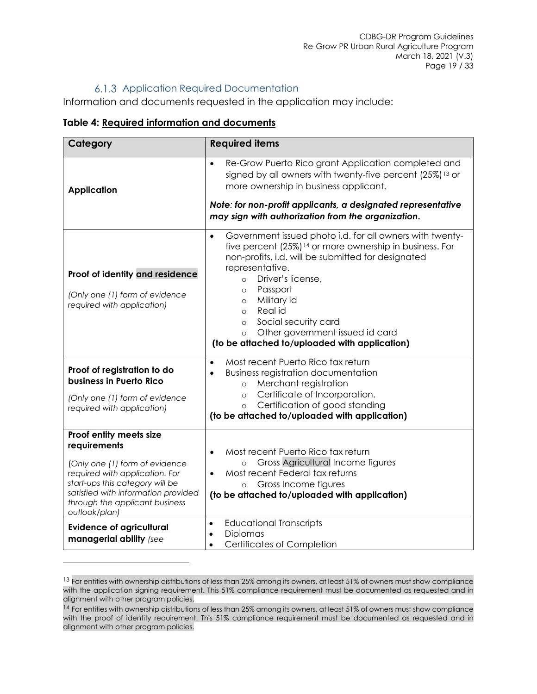#### 6.1.3 Application Required Documentation

<span id="page-18-0"></span>Information and documents requested in the application may include:

| Category                                                                                                                                                                                                                                 | <b>Required items</b>                                                                                                                                                                                                                                                                                                                                                                                                                                          |  |
|------------------------------------------------------------------------------------------------------------------------------------------------------------------------------------------------------------------------------------------|----------------------------------------------------------------------------------------------------------------------------------------------------------------------------------------------------------------------------------------------------------------------------------------------------------------------------------------------------------------------------------------------------------------------------------------------------------------|--|
| <b>Application</b>                                                                                                                                                                                                                       | Re-Grow Puerto Rico grant Application completed and<br>$\bullet$<br>signed by all owners with twenty-five percent (25%) <sup>13</sup> or<br>more ownership in business applicant.<br>Note: for non-profit applicants, a designated representative<br>may sign with authorization from the organization.                                                                                                                                                        |  |
| Proof of identity and residence<br>(Only one (1) form of evidence<br>required with application)                                                                                                                                          | Government issued photo i.d. for all owners with twenty-<br>$\bullet$<br>five percent (25%) <sup>14</sup> or more ownership in business. For<br>non-profits, i.d. will be submitted for designated<br>representative.<br>Driver's license,<br>$\circ$<br>Passport<br>$\circ$<br>Military id<br>$\circ$<br>Real id<br>$\circ$<br>Social security card<br>$\circ$<br>Other government issued id card<br>$\circ$<br>(to be attached to/uploaded with application) |  |
| Proof of registration to do<br>business in Puerto Rico<br>(Only one (1) form of evidence<br>required with application)                                                                                                                   | Most recent Puerto Rico tax return<br><b>Business registration documentation</b><br>Merchant registration<br>$\circ$<br>Certificate of Incorporation.<br>$\circ$<br>Certification of good standing<br>$\Omega$<br>(to be attached to/uploaded with application)                                                                                                                                                                                                |  |
| Proof entity meets size<br>requirements<br>(Only one (1) form of evidence<br>required with application. For<br>start-ups this category will be<br>satisfied with information provided<br>through the applicant business<br>outlook/plan) | Most recent Puerto Rico tax return<br>$\bullet$<br>Gross Agricultural Income figures<br>$\circ$<br>Most recent Federal tax returns<br>Gross Income figures<br>(to be attached to/uploaded with application)<br><b>Educational Transcripts</b><br>$\bullet$                                                                                                                                                                                                     |  |
| <b>Evidence of agricultural</b><br>managerial ability (see                                                                                                                                                                               | Diplomas<br><b>Certificates of Completion</b><br>$\bullet$                                                                                                                                                                                                                                                                                                                                                                                                     |  |

#### **Table 4: Required information and documents**

 $\overline{a}$ 

<span id="page-18-1"></span><sup>13</sup> For entities with ownership distributions of less than 25% among its owners, at least 51% of owners must show compliance with the application signing requirement. This 51% compliance requirement must be documented as requested and in alignment with other program policies.

<span id="page-18-2"></span><sup>&</sup>lt;sup>14</sup> For entities with ownership distributions of less than 25% among its owners, at least 51% of owners must show compliance with the proof of identity requirement. This 51% compliance requirement must be documented as requested and in alignment with other program policies.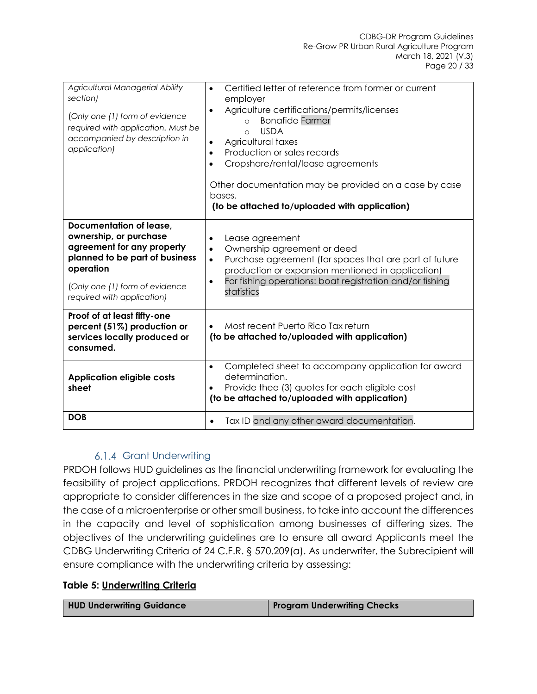| Agricultural Managerial Ability<br>section)<br>(Only one (1) form of evidence<br>required with application. Must be<br>accompanied by description in<br>application)                           | Certified letter of reference from former or current<br>$\bullet$<br>employer<br>Agriculture certifications/permits/licenses<br>$\bullet$<br><b>Bonafide Farmer</b><br>$\circ$<br><b>USDA</b><br>$\circ$<br>Agricultural taxes<br>Production or sales records<br>$\bullet$<br>Cropshare/rental/lease agreements<br>$\bullet$<br>Other documentation may be provided on a case by case<br>bases.<br>(to be attached to/uploaded with application) |
|------------------------------------------------------------------------------------------------------------------------------------------------------------------------------------------------|--------------------------------------------------------------------------------------------------------------------------------------------------------------------------------------------------------------------------------------------------------------------------------------------------------------------------------------------------------------------------------------------------------------------------------------------------|
| Documentation of lease,<br>ownership, or purchase<br>agreement for any property<br>planned to be part of business<br>operation<br>(Only one (1) form of evidence<br>required with application) | Lease agreement<br>$\bullet$<br>Ownership agreement or deed<br>$\bullet$<br>Purchase agreement (for spaces that are part of future<br>$\bullet$<br>production or expansion mentioned in application)<br>For fishing operations: boat registration and/or fishing<br>$\bullet$<br>statistics                                                                                                                                                      |
| Proof of at least fifty-one<br>percent (51%) production or<br>services locally produced or<br>consumed.                                                                                        | Most recent Puerto Rico Tax return<br>$\bullet$<br>(to be attached to/uploaded with application)                                                                                                                                                                                                                                                                                                                                                 |
| <b>Application eligible costs</b><br>sheet                                                                                                                                                     | Completed sheet to accompany application for award<br>$\bullet$<br>determination.<br>Provide thee (3) quotes for each eligible cost<br>$\bullet$<br>(to be attached to/uploaded with application)                                                                                                                                                                                                                                                |
| <b>DOB</b>                                                                                                                                                                                     | Tax ID and any other award documentation.                                                                                                                                                                                                                                                                                                                                                                                                        |

# Grant Underwriting

<span id="page-19-0"></span>PRDOH follows HUD guidelines as the financial underwriting framework for evaluating the feasibility of project applications. PRDOH recognizes that different levels of review are appropriate to consider differences in the size and scope of a proposed project and, in the case of a microenterprise or other small business, to take into account the differences in the capacity and level of sophistication among businesses of differing sizes. The objectives of the underwriting guidelines are to ensure all award Applicants meet the CDBG Underwriting Criteria of 24 C.F.R. § 570.209(a). As underwriter, the Subrecipient will ensure compliance with the underwriting criteria by assessing:

#### **Table 5: Underwriting Criteria**

| <b>HUD Underwriting Guidance</b> | <b>Program Underwriting Checks</b> |
|----------------------------------|------------------------------------|
|                                  |                                    |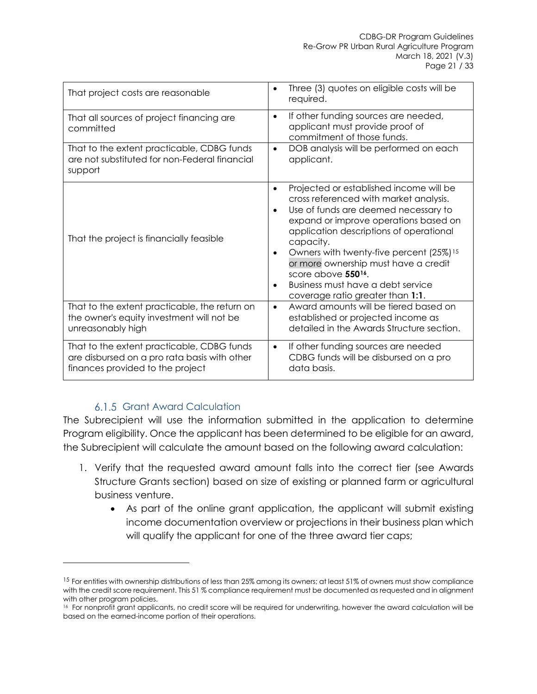| That project costs are reasonable                                                                                              | Three (3) quotes on eligible costs will be<br>$\bullet$<br>required.                                                                                                                                                                                                                                                                                                                                                                                                         |
|--------------------------------------------------------------------------------------------------------------------------------|------------------------------------------------------------------------------------------------------------------------------------------------------------------------------------------------------------------------------------------------------------------------------------------------------------------------------------------------------------------------------------------------------------------------------------------------------------------------------|
| That all sources of project financing are<br>committed                                                                         | If other funding sources are needed,<br>$\bullet$<br>applicant must provide proof of<br>commitment of those funds.                                                                                                                                                                                                                                                                                                                                                           |
| That to the extent practicable, CDBG funds<br>are not substituted for non-Federal financial<br>support                         | DOB analysis will be performed on each<br>$\bullet$<br>applicant.                                                                                                                                                                                                                                                                                                                                                                                                            |
| That the project is financially feasible                                                                                       | Projected or established income will be<br>$\bullet$<br>cross referenced with market analysis.<br>Use of funds are deemed necessary to<br>$\bullet$<br>expand or improve operations based on<br>application descriptions of operational<br>capacity.<br>Owners with twenty-five percent (25%) <sup>15</sup><br>$\bullet$<br>or more ownership must have a credit<br>score above 550 <sup>16</sup> .<br>Business must have a debt service<br>coverage ratio greater than 1:1. |
| That to the extent practicable, the return on<br>the owner's equity investment will not be<br>unreasonably high                | Award amounts will be tiered based on<br>$\bullet$<br>established or projected income as<br>detailed in the Awards Structure section.                                                                                                                                                                                                                                                                                                                                        |
| That to the extent practicable, CDBG funds<br>are disbursed on a pro rata basis with other<br>finances provided to the project | If other funding sources are needed<br>$\bullet$<br>CDBG funds will be disbursed on a pro<br>data basis.                                                                                                                                                                                                                                                                                                                                                                     |

# Grant Award Calculation

 $\overline{a}$ 

<span id="page-20-0"></span>The Subrecipient will use the information submitted in the application to determine Program eligibility. Once the applicant has been determined to be eligible for an award, the Subrecipient will calculate the amount based on the following award calculation:

- 1. Verify that the requested award amount falls into the correct tier (see Awards Structure Grants section) based on size of existing or planned farm or agricultural business venture.
	- As part of the online grant application, the applicant will submit existing income documentation overview or projections in their business plan which will qualify the applicant for one of the three award tier caps;

<span id="page-20-1"></span><sup>&</sup>lt;sup>15</sup> For entities with ownership distributions of less than 25% among its owners; at least 51% of owners must show compliance with the credit score requirement. This 51 % compliance requirement must be documented as requested and in alignment with other program policies.

<span id="page-20-2"></span><sup>16</sup> For nonprofit grant applicants, no credit score will be required for underwriting, however the award calculation will be based on the earned-income portion of their operations.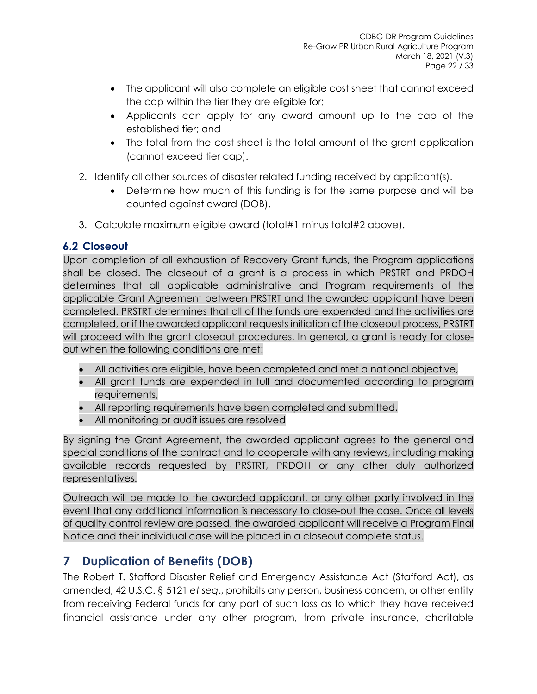- The applicant will also complete an eligible cost sheet that cannot exceed the cap within the tier they are eligible for;
- Applicants can apply for any award amount up to the cap of the established tier; and
- The total from the cost sheet is the total amount of the grant application (cannot exceed tier cap).
- 2. Identify all other sources of disaster related funding received by applicant(s).
	- Determine how much of this funding is for the same purpose and will be counted against award (DOB).
- 3. Calculate maximum eligible award (total#1 minus total#2 above).

# <span id="page-21-0"></span>**6.2 Closeout**

Upon completion of all exhaustion of Recovery Grant funds, the Program applications shall be closed. The closeout of a grant is a process in which PRSTRT and PRDOH determines that all applicable administrative and Program requirements of the applicable Grant Agreement between PRSTRT and the awarded applicant have been completed. PRSTRT determines that all of the funds are expended and the activities are completed, or if the awarded applicant requests initiation of the closeout process, PRSTRT will proceed with the grant closeout procedures. In general, a grant is ready for closeout when the following conditions are met:

- All activities are eligible, have been completed and met a national objective,
- All grant funds are expended in full and documented according to program requirements,
- All reporting requirements have been completed and submitted,
- All monitoring or audit issues are resolved

By signing the Grant Agreement, the awarded applicant agrees to the general and special conditions of the contract and to cooperate with any reviews, including making available records requested by PRSTRT, PRDOH or any other duly authorized representatives.

Outreach will be made to the awarded applicant, or any other party involved in the event that any additional information is necessary to close-out the case. Once all levels of quality control review are passed, the awarded applicant will receive a Program Final Notice and their individual case will be placed in a closeout complete status.

# <span id="page-21-1"></span>**7 Duplication of Benefits (DOB)**

The Robert T. Stafford Disaster Relief and Emergency Assistance Act (Stafford Act), as amended, 42 U.S.C. § 5121 *et seq*., prohibits any person, business concern, or other entity from receiving Federal funds for any part of such loss as to which they have received financial assistance under any other program, from private insurance, charitable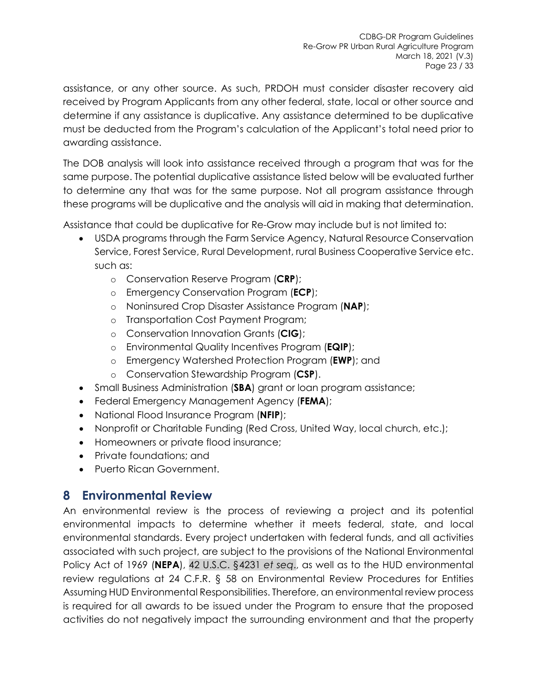assistance, or any other source. As such, PRDOH must consider disaster recovery aid received by Program Applicants from any other federal, state, local or other source and determine if any assistance is duplicative. Any assistance determined to be duplicative must be deducted from the Program's calculation of the Applicant's total need prior to awarding assistance.

The DOB analysis will look into assistance received through a program that was for the same purpose. The potential duplicative assistance listed below will be evaluated further to determine any that was for the same purpose. Not all program assistance through these programs will be duplicative and the analysis will aid in making that determination.

Assistance that could be duplicative for Re-Grow may include but is not limited to:

- USDA programs through the Farm Service Agency, Natural Resource Conservation Service, Forest Service, Rural Development, rural Business Cooperative Service etc. such as:
	- o Conservation Reserve Program (**CRP**);
	- o Emergency Conservation Program (**ECP**);
	- o Noninsured Crop Disaster Assistance Program (**NAP**);
	- o Transportation Cost Payment Program;
	- o Conservation Innovation Grants (**CIG**);
	- o Environmental Quality Incentives Program (**EQIP**);
	- o Emergency Watershed Protection Program (**EWP**); and
	- o Conservation Stewardship Program (**CSP**).
- Small Business Administration (**SBA**) grant or loan program assistance;
- Federal Emergency Management Agency (**FEMA**);
- National Flood Insurance Program (**NFIP**);
- Nonprofit or Charitable Funding (Red Cross, United Way, local church, etc.);
- Homeowners or private flood insurance;
- Private foundations: and
- Puerto Rican Government.

# <span id="page-22-0"></span>**8 Environmental Review**

An environmental review is the process of reviewing a project and its potential environmental impacts to determine whether it meets federal, state, and local environmental standards. Every project undertaken with federal funds, and all activities associated with such project, are subject to the provisions of the National Environmental Policy Act of 1969 (**NEPA**), 42 U.S.C. §4231 *et seq*., as well as to the HUD environmental review regulations at 24 C.F.R. § 58 on Environmental Review Procedures for Entities Assuming HUD Environmental Responsibilities. Therefore, an environmental review process is required for all awards to be issued under the Program to ensure that the proposed activities do not negatively impact the surrounding environment and that the property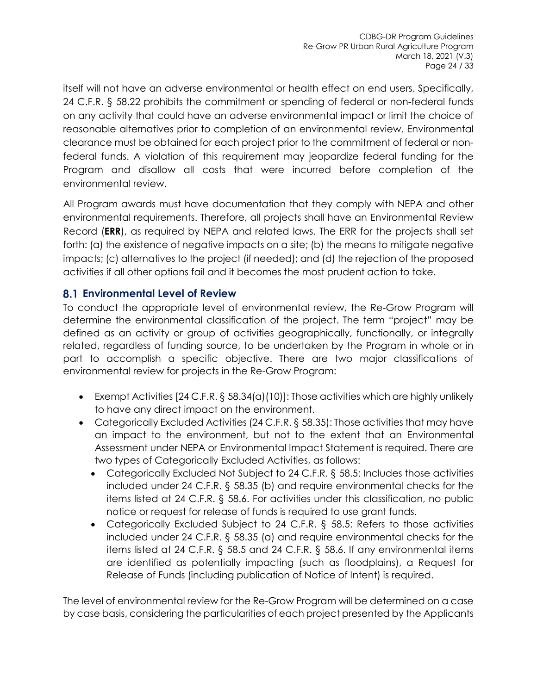itself will not have an adverse environmental or health effect on end users. Specifically, 24 C.F.R. § 58.22 prohibits the commitment or spending of federal or non-federal funds on any activity that could have an adverse environmental impact or limit the choice of reasonable alternatives prior to completion of an environmental review. Environmental clearance must be obtained for each project prior to the commitment of federal or nonfederal funds. A violation of this requirement may jeopardize federal funding for the Program and disallow all costs that were incurred before completion of the environmental review.

All Program awards must have documentation that they comply with NEPA and other environmental requirements. Therefore, all projects shall have an Environmental Review Record (**ERR**), as required by NEPA and related laws. The ERR for the projects shall set forth: (a) the existence of negative impacts on a site; (b) the means to mitigate negative impacts; (c) alternatives to the project (if needed); and (d) the rejection of the proposed activities if all other options fail and it becomes the most prudent action to take.

## <span id="page-23-0"></span>**Environmental Level of Review**

To conduct the appropriate level of environmental review, the Re-Grow Program will determine the environmental classification of the project. The term "project" may be defined as an activity or group of activities geographically, functionally, or integrally related, regardless of funding source, to be undertaken by the Program in whole or in part to accomplish a specific objective. There are two major classifications of environmental review for projects in the Re-Grow Program:

- Exempt Activities [24 C.F.R. § 58.34(a)(10)]: Those activities which are highly unlikely to have any direct impact on the environment.
- Categorically Excluded Activities (24 C.F.R. § 58.35): Those activities that may have an impact to the environment, but not to the extent that an Environmental Assessment under NEPA or Environmental Impact Statement is required. There are two types of Categorically Excluded Activities, as follows:
	- Categorically Excluded Not Subject to 24 C.F.R. § 58.5: Includes those activities included under 24 C.F.R. § 58.35 (b) and require environmental checks for the items listed at 24 C.F.R. § 58.6. For activities under this classification, no public notice or request for release of funds is required to use grant funds.
	- Categorically Excluded Subject to 24 C.F.R. § 58.5: Refers to those activities included under 24 C.F.R. § 58.35 (a) and require environmental checks for the items listed at 24 C.F.R. § 58.5 and 24 C.F.R. § 58.6. If any environmental items are identified as potentially impacting (such as floodplains), a Request for Release of Funds (including publication of Notice of Intent) is required.

The level of environmental review for the Re-Grow Program will be determined on a case by case basis, considering the particularities of each project presented by the Applicants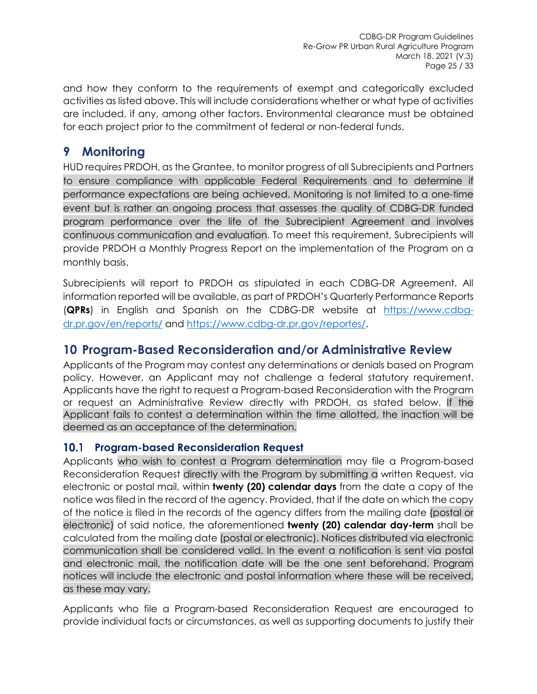and how they conform to the requirements of exempt and categorically excluded activities as listed above. This will include considerations whether or what type of activities are included, if any, among other factors. Environmental clearance must be obtained for each project prior to the commitment of federal or non-federal funds.

# <span id="page-24-0"></span>**9 Monitoring**

HUD requires PRDOH, as the Grantee, to monitor progress of all Subrecipients and Partners to ensure compliance with applicable Federal Requirements and to determine if performance expectations are being achieved. Monitoring is not limited to a one-time event but is rather an ongoing process that assesses the quality of CDBG-DR funded program performance over the life of the Subrecipient Agreement and involves continuous communication and evaluation. To meet this requirement, Subrecipients will provide PRDOH a Monthly Progress Report on the implementation of the Program on a monthly basis.

Subrecipients will report to PRDOH as stipulated in each CDBG-DR Agreement. All information reported will be available, as part of PRDOH's Quarterly Performance Reports (**QPRs**) in English and Spanish on the CDBG-DR website at [https://www.cdbg](https://www.cdbg-dr.pr.gov/en/reports/)[dr.pr.gov/en/reports/](https://www.cdbg-dr.pr.gov/en/reports/) and [https://www.cdbg-dr.pr.gov/reportes/.](https://www.cdbg-dr.pr.gov/reportes/)

# <span id="page-24-1"></span>**10 Program-Based Reconsideration and/or Administrative Review**

Applicants of the Program may contest any determinations or denials based on Program policy. However, an Applicant may not challenge a federal statutory requirement. Applicants have the right to request a Program-based Reconsideration with the Program or request an Administrative Review directly with PRDOH, as stated below. If the Applicant fails to contest a determination within the time allotted, the inaction will be deemed as an acceptance of the determination.

#### <span id="page-24-2"></span> $10.1$ **Program-based Reconsideration Request**

Applicants who wish to contest a Program determination may file a Program-based Reconsideration Request directly with the Program by submitting a written Request, via electronic or postal mail, within **twenty (20) calendar days** from the date a copy of the notice was filed in the record of the agency. Provided, that if the date on which the copy of the notice is filed in the records of the agency differs from the mailing date (postal or electronic) of said notice, the aforementioned **twenty (20) calendar day-term** shall be calculated from the mailing date (postal or electronic). Notices distributed via electronic communication shall be considered valid. In the event a notification is sent via postal and electronic mail, the notification date will be the one sent beforehand. Program notices will include the electronic and postal information where these will be received, as these may vary.

Applicants who file a Program-based Reconsideration Request are encouraged to provide individual facts or circumstances, as well as supporting documents to justify their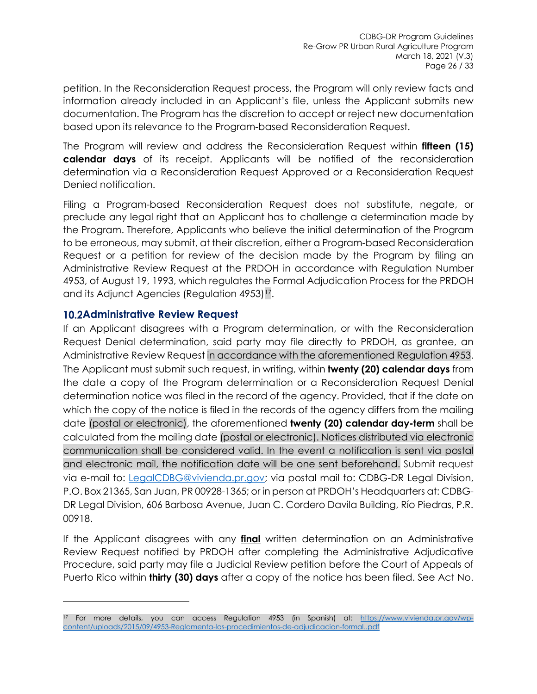petition. In the Reconsideration Request process, the Program will only review facts and information already included in an Applicant's file, unless the Applicant submits new documentation. The Program has the discretion to accept or reject new documentation based upon its relevance to the Program-based Reconsideration Request.

The Program will review and address the Reconsideration Request within **fifteen (15) calendar days** of its receipt. Applicants will be notified of the reconsideration determination via a Reconsideration Request Approved or a Reconsideration Request Denied notification.

Filing a Program-based Reconsideration Request does not substitute, negate, or preclude any legal right that an Applicant has to challenge a determination made by the Program. Therefore, Applicants who believe the initial determination of the Program to be erroneous, may submit, at their discretion, either a Program-based Reconsideration Request or a petition for review of the decision made by the Program by filing an Administrative Review Request at the PRDOH in accordance with Regulation Number 4953, of August 19, 1993, which regulates the Formal Adjudication Process for the PRDOH and its Adjunct Agencies (Regulation 4953)<sup>17</sup>.

#### <span id="page-25-0"></span>**10.2Administrative Review Request**

 $\overline{a}$ 

If an Applicant disagrees with a Program determination, or with the Reconsideration Request Denial determination, said party may file directly to PRDOH, as grantee, an Administrative Review Request in accordance with the aforementioned Regulation 4953. The Applicant must submit such request, in writing, within **twenty (20) calendar days** from the date a copy of the Program determination or a Reconsideration Request Denial determination notice was filed in the record of the agency. Provided, that if the date on which the copy of the notice is filed in the records of the agency differs from the mailing date (postal or electronic), the aforementioned **twenty (20) calendar day-term** shall be calculated from the mailing date (postal or electronic). Notices distributed via electronic communication shall be considered valid. In the event a notification is sent via postal and electronic mail, the notification date will be one sent beforehand. Submit request via e-mail to: [LegalCDBG@vivienda.pr.gov;](mailto:LegalCDBG@vivienda.pr.gov) via postal mail to: CDBG-DR Legal Division, P.O. Box 21365, San Juan, PR 00928-1365; or in person at PRDOH's Headquarters at: CDBG-DR Legal Division, 606 Barbosa Avenue, Juan C. Cordero Davila Building, Río Piedras, P.R. 00918.

If the Applicant disagrees with any **final** written determination on an Administrative Review Request notified by PRDOH after completing the Administrative Adjudicative Procedure, said party may file a Judicial Review petition before the Court of Appeals of Puerto Rico within **thirty (30) days** after a copy of the notice has been filed. See Act No.

<span id="page-25-1"></span><sup>17</sup> For more details, you can access Regulation 4953 (in Spanish) at: [https://www.vivienda.pr.gov/wp](https://www.vivienda.pr.gov/wp-content/uploads/2015/09/4953-Reglamenta-los-procedimientos-de-adjudicacion-formal..pdf)[content/uploads/2015/09/4953-Reglamenta-los-procedimientos-de-adjudicacion-formal..pdf](https://www.vivienda.pr.gov/wp-content/uploads/2015/09/4953-Reglamenta-los-procedimientos-de-adjudicacion-formal..pdf)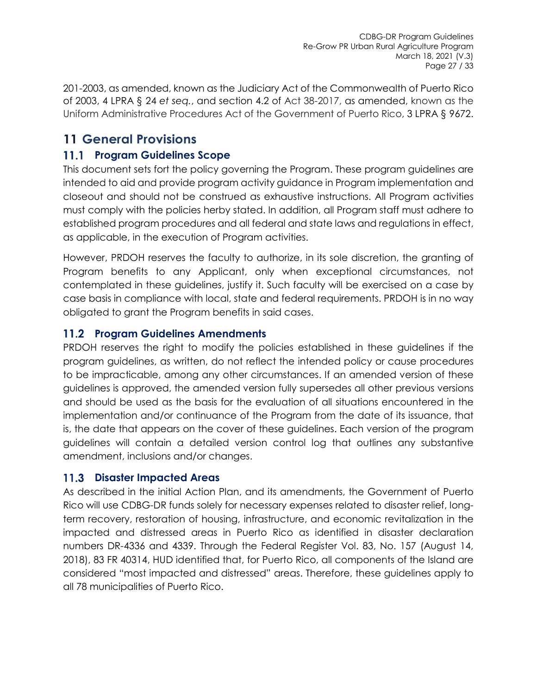201-2003, as amended, known as the Judiciary Act of the Commonwealth of Puerto Rico of 2003, 4 LPRA § 24 *et seq.*, and section 4.2 of Act 38-2017, as amended, known as the Uniform Administrative Procedures Act of the Government of Puerto Rico, 3 LPRA § 9672.

# <span id="page-26-0"></span>**General Provisions**

# <span id="page-26-1"></span>**Program Guidelines Scope**

This document sets fort the policy governing the Program. These program guidelines are intended to aid and provide program activity guidance in Program implementation and closeout and should not be construed as exhaustive instructions. All Program activities must comply with the policies herby stated. In addition, all Program staff must adhere to established program procedures and all federal and state laws and regulations in effect, as applicable, in the execution of Program activities.

However, PRDOH reserves the faculty to authorize, in its sole discretion, the granting of Program benefits to any Applicant, only when exceptional circumstances, not contemplated in these guidelines, justify it. Such faculty will be exercised on a case by case basis in compliance with local, state and federal requirements. PRDOH is in no way obligated to grant the Program benefits in said cases.

## <span id="page-26-2"></span>**Program Guidelines Amendments**

PRDOH reserves the right to modify the policies established in these guidelines if the program guidelines, as written, do not reflect the intended policy or cause procedures to be impracticable, among any other circumstances. If an amended version of these guidelines is approved, the amended version fully supersedes all other previous versions and should be used as the basis for the evaluation of all situations encountered in the implementation and/or continuance of the Program from the date of its issuance, that is, the date that appears on the cover of these guidelines. Each version of the program guidelines will contain a detailed version control log that outlines any substantive amendment, inclusions and/or changes.

#### <span id="page-26-3"></span>**Disaster Impacted Areas**

As described in the initial Action Plan, and its amendments, the Government of Puerto Rico will use CDBG-DR funds solely for necessary expenses related to disaster relief, longterm recovery, restoration of housing, infrastructure, and economic revitalization in the impacted and distressed areas in Puerto Rico as identified in disaster declaration numbers DR-4336 and 4339. Through the Federal Register Vol. 83, No. 157 (August 14, 2018), 83 FR 40314, HUD identified that, for Puerto Rico, all components of the Island are considered "most impacted and distressed" areas. Therefore, these guidelines apply to all 78 municipalities of Puerto Rico.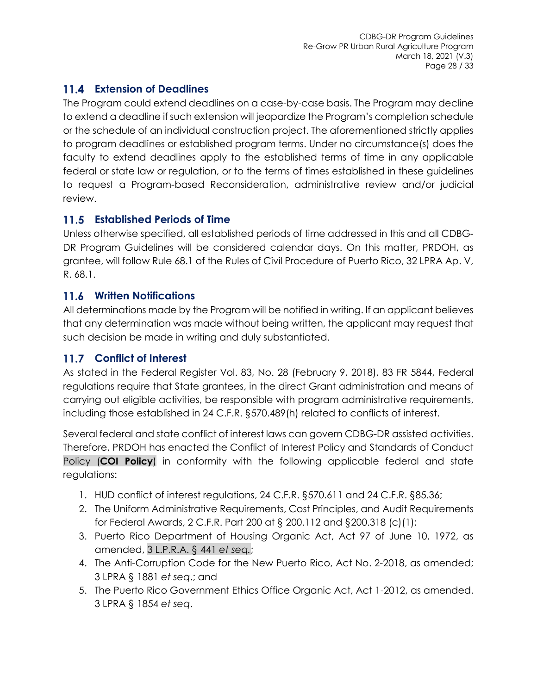## <span id="page-27-0"></span>**Extension of Deadlines**

The Program could extend deadlines on a case-by-case basis. The Program may decline to extend a deadline if such extension will jeopardize the Program's completion schedule or the schedule of an individual construction project. The aforementioned strictly applies to program deadlines or established program terms. Under no circumstance(s) does the faculty to extend deadlines apply to the established terms of time in any applicable federal or state law or regulation, or to the terms of times established in these guidelines to request a Program-based Reconsideration, administrative review and/or judicial review.

## <span id="page-27-1"></span>**Established Periods of Time**

Unless otherwise specified, all established periods of time addressed in this and all CDBG-DR Program Guidelines will be considered calendar days. On this matter, PRDOH, as grantee, will follow Rule 68.1 of the Rules of Civil Procedure of Puerto Rico, 32 LPRA Ap. V, R. 68.1.

## <span id="page-27-2"></span>**Written Notifications**

All determinations made by the Program will be notified in writing. If an applicant believes that any determination was made without being written, the applicant may request that such decision be made in writing and duly substantiated.

#### <span id="page-27-3"></span>**Conflict of Interest**

As stated in the Federal Register Vol. 83, No. 28 (February 9, 2018), 83 FR 5844, Federal regulations require that State grantees, in the direct Grant administration and means of carrying out eligible activities, be responsible with program administrative requirements, including those established in 24 C.F.R. §570.489(h) related to conflicts of interest.

Several federal and state conflict of interest laws can govern CDBG-DR assisted activities. Therefore, PRDOH has enacted the Conflict of Interest Policy and Standards of Conduct Policy (**COI Policy**) in conformity with the following applicable federal and state regulations:

- 1. HUD conflict of interest regulations, 24 C.F.R. §570.611 and 24 C.F.R. §85.36;
- 2. The Uniform Administrative Requirements, Cost Principles, and Audit Requirements for Federal Awards, 2 C.F.R. Part 200 at § 200.112 and §200.318 (c)(1);
- 3. Puerto Rico Department of Housing Organic Act, Act 97 of June 10, 1972, as amended, 3 L.P.R.A. § 441 *et seq.*;
- 4. The Anti-Corruption Code for the New Puerto Rico, Act No. 2-2018, as amended; 3 LPRA § 1881 *et seq*.; and
- 5. The Puerto Rico Government Ethics Office Organic Act, Act 1-2012, as amended. 3 LPRA § 1854 *et seq*.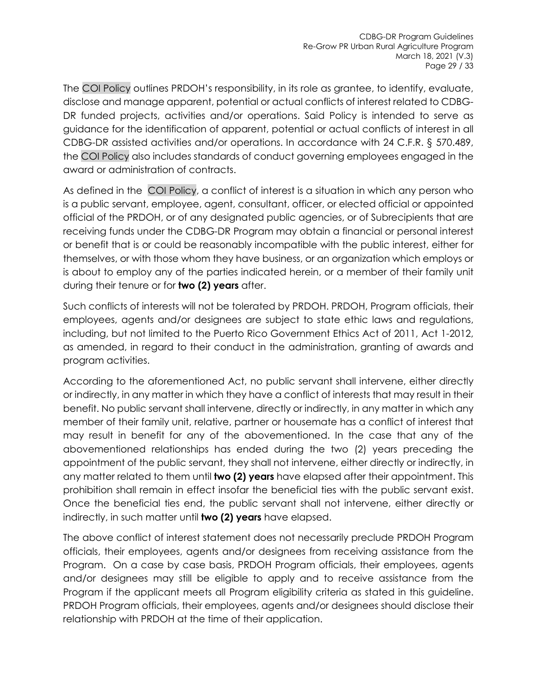The COI Policy outlines PRDOH's responsibility, in its role as grantee, to identify, evaluate, disclose and manage apparent, potential or actual conflicts of interest related to CDBG-DR funded projects, activities and/or operations. Said Policy is intended to serve as guidance for the identification of apparent, potential or actual conflicts of interest in all CDBG-DR assisted activities and/or operations. In accordance with 24 C.F.R. § 570.489, the COI Policy also includes standards of conduct governing employees engaged in the award or administration of contracts.

As defined in the COI Policy, a conflict of interest is a situation in which any person who is a public servant, employee, agent, consultant, officer, or elected official or appointed official of the PRDOH, or of any designated public agencies, or of Subrecipients that are receiving funds under the CDBG-DR Program may obtain a financial or personal interest or benefit that is or could be reasonably incompatible with the public interest, either for themselves, or with those whom they have business, or an organization which employs or is about to employ any of the parties indicated herein, or a member of their family unit during their tenure or for **two (2) years** after.

Such conflicts of interests will not be tolerated by PRDOH. PRDOH, Program officials, their employees, agents and/or designees are subject to state ethic laws and regulations, including, but not limited to the Puerto Rico Government Ethics Act of 2011, Act 1-2012, as amended, in regard to their conduct in the administration, granting of awards and program activities.

According to the aforementioned Act, no public servant shall intervene, either directly or indirectly, in any matter in which they have a conflict of interests that may result in their benefit. No public servant shall intervene, directly or indirectly, in any matter in which any member of their family unit, relative, partner or housemate has a conflict of interest that may result in benefit for any of the abovementioned. In the case that any of the abovementioned relationships has ended during the two (2) years preceding the appointment of the public servant, they shall not intervene, either directly or indirectly, in any matter related to them until **two (2) years** have elapsed after their appointment. This prohibition shall remain in effect insofar the beneficial ties with the public servant exist. Once the beneficial ties end, the public servant shall not intervene, either directly or indirectly, in such matter until **two (2) years** have elapsed.

The above conflict of interest statement does not necessarily preclude PRDOH Program officials, their employees, agents and/or designees from receiving assistance from the Program. On a case by case basis, PRDOH Program officials, their employees, agents and/or designees may still be eligible to apply and to receive assistance from the Program if the applicant meets all Program eligibility criteria as stated in this guideline. PRDOH Program officials, their employees, agents and/or designees should disclose their relationship with PRDOH at the time of their application.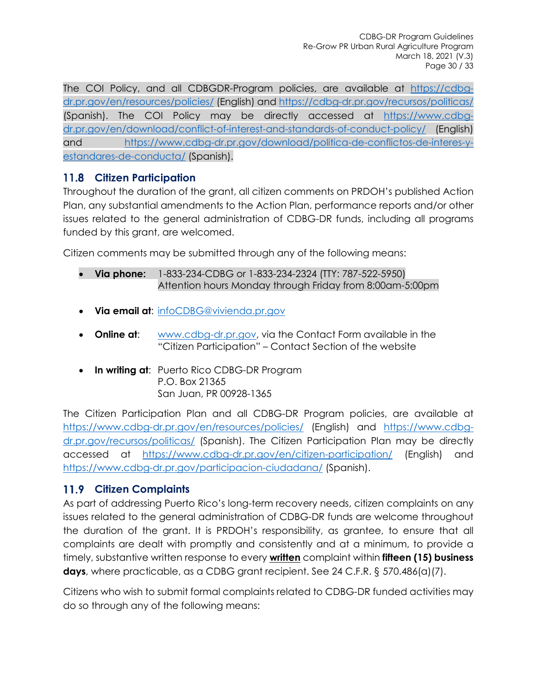The COI Policy, and all CDBGDR-Program policies, are available at [https://cdbg](https://cdbg-dr.pr.gov/en/resources/policies/)[dr.pr.gov/en/resources/policies/](https://cdbg-dr.pr.gov/en/resources/policies/) (English) and<https://cdbg-dr.pr.gov/recursos/politicas/> (Spanish). The COI Policy may be directly accessed at [https://www.cdbg](https://www.cdbg-dr.pr.gov/en/download/conflict-of-interest-and-standards-of-conduct-policy/)[dr.pr.gov/en/download/conflict-of-interest-and-standards-of-conduct-policy/](https://www.cdbg-dr.pr.gov/en/download/conflict-of-interest-and-standards-of-conduct-policy/) (English) and [https://www.cdbg-dr.pr.gov/download/politica-de-conflictos-de-interes-y](https://www.cdbg-dr.pr.gov/download/politica-de-conflictos-de-interes-y-estandares-de-conducta/)[estandares-de-conducta/](https://www.cdbg-dr.pr.gov/download/politica-de-conflictos-de-interes-y-estandares-de-conducta/) (Spanish).

# <span id="page-29-0"></span>**Citizen Participation**

Throughout the duration of the grant, all citizen comments on PRDOH's published Action Plan, any substantial amendments to the Action Plan, performance reports and/or other issues related to the general administration of CDBG-DR funds, including all programs funded by this grant, are welcomed.

Citizen comments may be submitted through any of the following means:

- **Via phone:** 1-833-234-CDBG or 1-833-234-2324 (TTY: 787-522-5950) Attention hours Monday through Friday from 8:00am-5:00pm
- **Via email at**: [infoCDBG@vivienda.pr.gov](mailto:infoCDBG@vivienda.pr.gov)
- **Online at**: [www.cdbg-dr.pr.gov,](http://www.cdbg-dr.pr.gov/) via the Contact Form available in the "Citizen Participation" – Contact Section of the website
- **In writing at**: Puerto Rico CDBG-DR Program P.O. Box 21365 San Juan, PR 00928-1365

The Citizen Participation Plan and all CDBG-DR Program policies, are available at <https://www.cdbg-dr.pr.gov/en/resources/policies/> (English) and [https://www.cdbg](https://www.cdbg-dr.pr.gov/recursos/politicas/)[dr.pr.gov/recursos/politicas/](https://www.cdbg-dr.pr.gov/recursos/politicas/) (Spanish). The Citizen Participation Plan may be directly accessed at <https://www.cdbg-dr.pr.gov/en/citizen-participation/> (English) and <https://www.cdbg-dr.pr.gov/participacion-ciudadana/> (Spanish).

# <span id="page-29-1"></span>**Citizen Complaints**

As part of addressing Puerto Rico's long-term recovery needs, citizen complaints on any issues related to the general administration of CDBG-DR funds are welcome throughout the duration of the grant. It is PRDOH's responsibility, as grantee, to ensure that all complaints are dealt with promptly and consistently and at a minimum, to provide a timely, substantive written response to every **written** complaint within **fifteen (15) business days**, where practicable, as a CDBG grant recipient. See 24 C.F.R. § 570.486(a)(7).

Citizens who wish to submit formal complaints related to CDBG-DR funded activities may do so through any of the following means: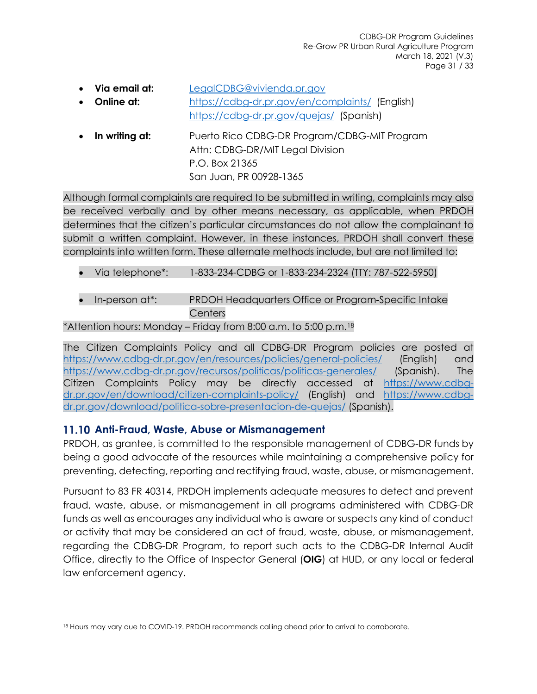- **Via email at:** [LegalCDBG@vivienda.pr.gov](mailto:LegalCDBG@vivienda.pr.gov)
- **Online at:** <https://cdbg-dr.pr.gov/en/complaints/>(English) <https://cdbg-dr.pr.gov/quejas/>(Spanish)
- **In writing at:** Puerto Rico CDBG-DR Program/CDBG-MIT Program Attn: CDBG-DR/MIT Legal Division P.O. Box 21365 San Juan, PR 00928-1365

Although formal complaints are required to be submitted in writing, complaints may also be received verbally and by other means necessary, as applicable, when PRDOH determines that the citizen's particular circumstances do not allow the complainant to submit a written complaint. However, in these instances, PRDOH shall convert these complaints into written form. These alternate methods include, but are not limited to:

- Via telephone\*: 1-833-234-CDBG or 1-833-234-2324 (TTY: 787-522-5950)
- In-person at\*: PRDOH Headquarters Office or Program-Specific Intake **Centers**

\*Attention hours: Monday – Friday from 8:00 a.m. to 5:00 p.m.[18](#page-30-1)

The Citizen Complaints Policy and all CDBG-DR Program policies are posted at <https://www.cdbg-dr.pr.gov/en/resources/policies/general-policies/> (English) and <https://www.cdbg-dr.pr.gov/recursos/politicas/politicas-generales/> (Spanish). The Citizen Complaints Policy may be directly accessed at [https://www.cdbg](https://www.cdbg-dr.pr.gov/en/download/citizen-complaints-policy/)[dr.pr.gov/en/download/citizen-complaints-policy/](https://www.cdbg-dr.pr.gov/en/download/citizen-complaints-policy/) (English) and [https://www.cdbg](https://www.cdbg-dr.pr.gov/download/politica-sobre-presentacion-de-quejas/)[dr.pr.gov/download/politica-sobre-presentacion-de-quejas/](https://www.cdbg-dr.pr.gov/download/politica-sobre-presentacion-de-quejas/) (Spanish).

# <span id="page-30-0"></span>**Anti-Fraud, Waste, Abuse or Mismanagement**

 $\overline{a}$ 

PRDOH, as grantee, is committed to the responsible management of CDBG-DR funds by being a good advocate of the resources while maintaining a comprehensive policy for preventing, detecting, reporting and rectifying fraud, waste, abuse, or mismanagement.

Pursuant to 83 FR 40314, PRDOH implements adequate measures to detect and prevent fraud, waste, abuse, or mismanagement in all programs administered with CDBG-DR funds as well as encourages any individual who is aware or suspects any kind of conduct or activity that may be considered an act of fraud, waste, abuse, or mismanagement, regarding the CDBG-DR Program, to report such acts to the CDBG-DR Internal Audit Office, directly to the Office of Inspector General (**OIG**) at HUD, or any local or federal law enforcement agency.

<span id="page-30-1"></span><sup>18</sup> Hours may vary due to COVID-19. PRDOH recommends calling ahead prior to arrival to corroborate.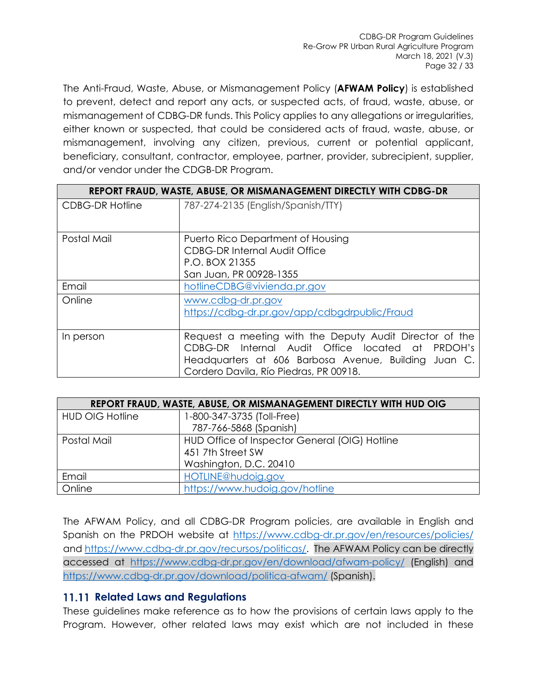The Anti-Fraud, Waste, Abuse, or Mismanagement Policy (**AFWAM Policy**) is established to prevent, detect and report any acts, or suspected acts, of fraud, waste, abuse, or mismanagement of CDBG-DR funds. This Policy applies to any allegations or irregularities, either known or suspected, that could be considered acts of fraud, waste, abuse, or mismanagement, involving any citizen, previous, current or potential applicant, beneficiary, consultant, contractor, employee, partner, provider, subrecipient, supplier, and/or vendor under the CDGB-DR Program.

| REPORT FRAUD, WASTE, ABUSE, OR MISMANAGEMENT DIRECTLY WITH CDBG-DR |                                                                                                                                                                                                                  |
|--------------------------------------------------------------------|------------------------------------------------------------------------------------------------------------------------------------------------------------------------------------------------------------------|
| <b>CDBG-DR Hotline</b>                                             | 787-274-2135 (English/Spanish/TTY)                                                                                                                                                                               |
| Postal Mail                                                        | Puerto Rico Department of Housing<br><b>CDBG-DR Internal Audit Office</b><br>P.O. BOX 21355<br>San Juan, PR 00928-1355                                                                                           |
| Email                                                              | hotlineCDBG@vivienda.pr.gov                                                                                                                                                                                      |
| Online                                                             | www.cdbg-dr.pr.gov<br>https://cdbg-dr.pr.gov/app/cdbgdrpublic/Fraud                                                                                                                                              |
| In person                                                          | Request a meeting with the Deputy Audit Director of the<br>Internal Audit Office located at PRDOH's<br>CDBG-DR<br>Headquarters at 606 Barbosa Avenue, Building Juan C.<br>Cordero Davila, Río Piedras, PR 00918. |

| REPORT FRAUD, WASTE, ABUSE, OR MISMANAGEMENT DIRECTLY WITH HUD OIG |                                               |
|--------------------------------------------------------------------|-----------------------------------------------|
| <b>HUD OIG Hotline</b>                                             | 1-800-347-3735 (Toll-Free)                    |
|                                                                    | 787-766-5868 (Spanish)                        |
| Postal Mail                                                        | HUD Office of Inspector General (OIG) Hotline |
|                                                                    | 451 7th Street SW                             |
|                                                                    | Washington, D.C. 20410                        |
| Email                                                              | HOTLINE@hudoig.gov                            |
| Online                                                             | https://www.hudoig.gov/hotline                |

The AFWAM Policy, and all CDBG-DR Program policies, are available in English and Spanish on the PRDOH website at <https://www.cdbg-dr.pr.gov/en/resources/policies/> and [https://www.cdbg-dr.pr.gov/recursos/politicas/.](https://www.cdbg-dr.pr.gov/recursos/politicas/) The AFWAM Policy can be directly accessed at <https://www.cdbg-dr.pr.gov/en/download/afwam-policy/> (English) and <https://www.cdbg-dr.pr.gov/download/politica-afwam/> (Spanish).

#### <span id="page-31-0"></span>**Related Laws and Regulations**

These guidelines make reference as to how the provisions of certain laws apply to the Program. However, other related laws may exist which are not included in these